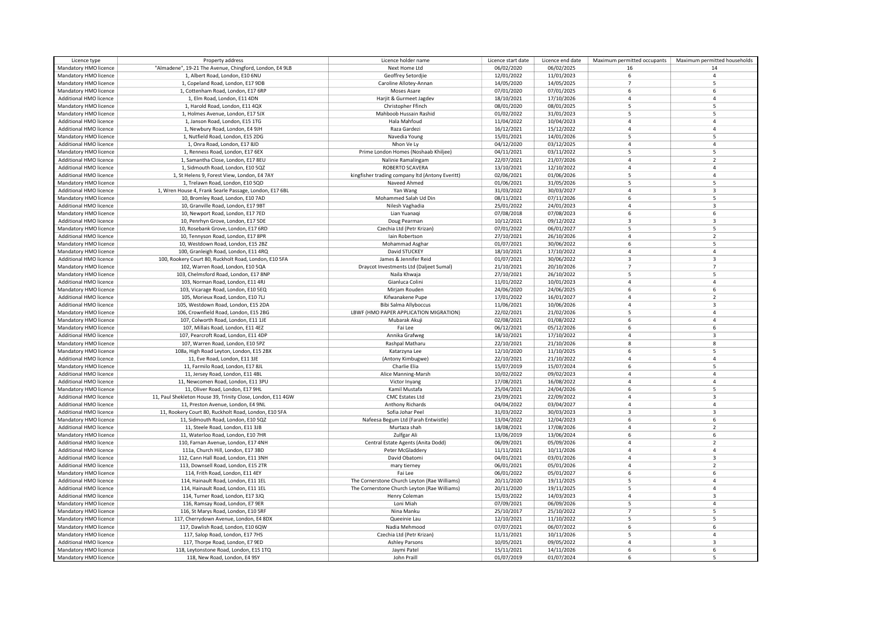| Licence type                  | Property address                                            | Licence holder name                             | Licence start date | Licence end date | Maximum permitted occupants | Maximum permitted households     |
|-------------------------------|-------------------------------------------------------------|-------------------------------------------------|--------------------|------------------|-----------------------------|----------------------------------|
| Mandatory HMO licence         | "Almadene", 19-21 The Avenue, Chingford, London, E4 9LB     | Next Home Ltd                                   | 06/02/2020         | 06/02/2025       | 16                          | 14                               |
| Mandatory HMO licence         | 1, Albert Road, London, E10 6NU                             | Geoffrey Setordjie                              | 12/01/2022         | 11/01/2023       | 6                           | $\overline{4}$                   |
| Mandatory HMO licence         | 1, Copeland Road, London, E17 9DB                           | Caroline Allotey-Annan                          | 14/05/2020         | 14/05/2025       | $\overline{7}$              | 5                                |
| Mandatory HMO licence         | 1, Cottenham Road, London, E17 6RP                          | Moses Asare                                     | 07/01/2020         | 07/01/2025       | 6                           | 6                                |
| Additional HMO licence        | 1, Elm Road, London, E11 4DN                                | Harjit & Gurmeet Jagdev                         | 18/10/2021         | 17/10/2026       | $\overline{4}$              | $\overline{4}$                   |
| Mandatory HMO licence         | 1, Harold Road, London, E11 4QX                             | Christopher Ffinch                              | 08/01/2020         | 08/01/2025       | 5                           | 5                                |
| Mandatory HMO licence         | 1, Holmes Avenue, London, E17 5JX                           | Mahboob Hussain Rashid                          | 01/02/2022         | 31/01/2023       | 5                           | 5                                |
| Additional HMO licence        | 1, Janson Road, London, E15 1TG                             | Hala Mahfoud                                    | 11/04/2022         | 10/04/2023       | $\overline{4}$              | $\overline{4}$                   |
| Additional HMO licence        | 1, Newbury Road, London, E4 9JH                             | Raza Gardezi                                    | 16/12/2021         | 15/12/2022       | $\overline{4}$              | $\overline{4}$                   |
| Mandatory HMO licence         | 1, Nutfield Road, London, E15 2DG                           | Navedia Young                                   | 15/01/2021         | 14/01/2026       | 5                           | 5                                |
| Additional HMO licence        | 1, Onra Road, London, E17 8JD                               | Nhon Ve Ly                                      | 04/12/2020         | 03/12/2025       | $\overline{4}$              | $\overline{4}$                   |
| Mandatory HMO licence         | 1, Renness Road, London, E17 6EX                            | Prime London Homes (Noshaab Khiljee)            | 04/11/2021         | 03/11/2022       | 5                           | 5                                |
| Additional HMO licence        | 1, Samantha Close, London, E17 8EU                          | Nalinie Ramalingam                              | 22/07/2021         | 21/07/2026       | $\overline{4}$              | $\overline{z}$                   |
| Additional HMO licence        | 1, Sidmouth Road, London, E10 5QZ                           | ROBERTO SCAVERA                                 | 13/10/2021         | 12/10/2022       | $\Delta$                    | $\overline{4}$                   |
| Additional HMO licence        | 1, St Helens 9, Forest View, London, E4 7AY                 | kingfisher trading company ltd (Antony Everitt) | 02/06/2021         | 01/06/2026       | 5                           | $\overline{4}$                   |
| Mandatory HMO licence         | 1, Trelawn Road, London, E10 5QD                            | Naveed Ahmed                                    | 01/06/2021         | 31/05/2026       | 5                           | 5                                |
| <b>Additional HMO licence</b> |                                                             |                                                 |                    |                  | $\overline{4}$              | $\overline{\mathbf{3}}$          |
|                               | 1, Wren House 4, Frank Searle Passage, London, E17 6BL      | Yan Wang                                        | 31/03/2022         | 30/03/2027       |                             |                                  |
| Mandatory HMO licence         | 10, Bromley Road, London, E10 7AD                           | Mohammed Salah Ud Din                           | 08/11/2021         | 07/11/2026       | 6                           | 5                                |
| Additional HMO licence        | 10, Granville Road, London, E17 9BT                         | Nilesh Vaghadia                                 | 25/01/2022         | 24/01/2023       | $\overline{4}$              | $\overline{\mathbf{3}}$          |
| Mandatory HMO licence         | 10, Newport Road, London, E17 7ED                           | Lian Yuanaqi                                    | 07/08/2018         | 07/08/2023       | 6                           | 6                                |
| Additional HMO licence        | 10, Penrhyn Grove, London, E17 5DE                          | Doug Pearman                                    | 10/12/2021         | 09/12/2022       | $\overline{3}$              | $\overline{\mathbf{3}}$          |
| Mandatory HMO licence         | 10, Rosebank Grove, London, E17 6RD                         | Czechia Ltd (Petr Krizan)                       | 07/01/2022         | 06/01/2027       | $\overline{5}$              | 5                                |
| Additional HMO licence        | 10, Tennyson Road, London, E17 8PR                          | lain Robertson                                  | 27/10/2021         | 26/10/2026       | $\overline{4}$              | $\overline{2}$                   |
| Mandatory HMO licence         | 10, Westdown Road, London, E15 2BZ                          | Mohammad Asghar                                 | 01/07/2021         | 30/06/2022       | 6                           | 5                                |
| Mandatory HMO licence         | 100, Granleigh Road, London, E11 4RQ                        | David STUCKEY                                   | 18/10/2021         | 17/10/2022       | $\overline{4}$              | $\overline{4}$                   |
| Additional HMO licence        | 100, Rookery Court 80, Ruckholt Road, London, E10 5FA       | James & Jennifer Reid                           | 01/07/2021         | 30/06/2022       | $\overline{3}$              | $\overline{\mathbf{3}}$          |
| Mandatory HMO licence         | 102, Warren Road, London, E10 5QA                           | Draycot Investments Ltd (Daljeet Sumal)         | 21/10/2021         | 20/10/2026       | $\overline{7}$              | $\overline{7}$                   |
| Mandatory HMO licence         | 103, Chelmsford Road, London, E17 8NP                       | Naila Khwaja                                    | 27/10/2021         | 26/10/2022       | 5                           | 5                                |
| Additional HMO licence        | 103, Norman Road, London, E11 4RJ                           | Gianluca Colini                                 | 11/01/2022         | 10/01/2023       | $\Delta$                    | $\overline{4}$                   |
| Mandatory HMO licence         | 103, Vicarage Road, London, E10 5EQ                         | Mirjam Rouden                                   | 24/06/2020         | 24/06/2025       | 6                           | 6                                |
| Additional HMO licence        | 105, Morieux Road, London, E10 7LJ                          | Kifwanakene Pupe                                | 17/01/2022         | 16/01/2027       | $\overline{4}$              | $\overline{z}$                   |
| Additional HMO licence        | 105, Westdown Road, London, E15 2DA                         | <b>Bibi Salma Allyboccus</b>                    | 11/06/2021         | 10/06/2026       | $\overline{4}$              | $\overline{\mathbf{3}}$          |
| Mandatory HMO licence         |                                                             | LBWF (HMO PAPER APPLICATION MIGRATION)          | 22/02/2021         | 21/02/2026       | 5                           | $\overline{4}$                   |
|                               | 106, Crownfield Road, London, E15 2BG                       |                                                 |                    |                  | 6                           |                                  |
| Mandatory HMO licence         | 107, Colworth Road, London, E11 1JE                         | Mubarak Akuji                                   | 02/08/2021         | 01/08/2022       |                             | $\overline{4}$                   |
| Mandatory HMO licence         | 107, Millais Road, London, E11 4EZ                          | Fai Lee                                         | 06/12/2021         | 05/12/2026       | 6                           | 6                                |
| Additional HMO licence        | 107, Pearcroft Road, London, E11 4DP                        | Annika Grafweg                                  | 18/10/2021         | 17/10/2022       | $\overline{4}$              | $\overline{3}$                   |
| Mandatory HMO licence         | 107, Warren Road, London, E10 5PZ                           | Rashpal Matharu                                 | 22/10/2021         | 21/10/2026       | 8                           | 8                                |
| Mandatory HMO licence         | 108a, High Road Leyton, London, E15 2BX                     | Katarzyna Lee                                   | 12/10/2020         | 11/10/2025       | 6                           | 5                                |
| Additional HMO licence        | 11, Eve Road, London, E11 3JE                               | (Antony Kimbugwe)                               | 22/10/2021         | 21/10/2022       | $\overline{4}$              | $\overline{4}$                   |
| Mandatory HMO licence         | 11, Farmilo Road, London, E17 8JL                           | Charlie Elia                                    | 15/07/2019         | 15/07/2024       | 6                           | 5                                |
| Additional HMO licence        | 11, Jersey Road, London, E11 4BL                            | Alice Manning-Marsh                             | 10/02/2022         | 09/02/2023       | $\overline{4}$              | $\overline{4}$                   |
| Additional HMO licence        | 11, Newcomen Road, London, E11 3PU                          | Victor Inyang                                   | 17/08/2021         | 16/08/2022       | $\overline{4}$              | $\overline{4}$                   |
| Mandatory HMO licence         | 11, Oliver Road, London, E17 9HL                            | Kamil Mustafa                                   | 25/04/2021         | 24/04/2026       | 6                           | 5                                |
| <b>Additional HMO licence</b> | 11, Paul Shekleton House 39, Trinity Close, London, E11 4GW | <b>CMC Estates Ltd</b>                          | 23/09/2021         | 22/09/2022       | $\overline{4}$              | $\overline{\mathbf{3}}$          |
| Additional HMO licence        | 11, Preston Avenue, London, E4 9NL                          | <b>Anthony Richards</b>                         | 04/04/2022         | 03/04/2027       | $\overline{4}$              | $\overline{4}$                   |
| Additional HMO licence        | 11, Rookery Court 80, Ruckholt Road, London, E10 5FA        | Sofia Johar Peel                                | 31/03/2022         | 30/03/2023       | $\overline{3}$              | $\overline{\mathbf{3}}$          |
| Mandatory HMO licence         | 11, Sidmouth Road, London, E10 5QZ                          | Nafeesa Begum Ltd (Farah Entwistle)             | 13/04/2022         | 12/04/2023       | 6                           | 6                                |
| Additional HMO licence        | 11, Steele Road, London, E11 3JB                            | Murtaza shah                                    | 18/08/2021         | 17/08/2026       | $\overline{4}$              | $\overline{z}$                   |
| Mandatory HMO licence         | 11, Waterloo Road, London, E10 7HR                          | Zulfgar Ali                                     | 13/06/2019         | 13/06/2024       | 6                           | 6                                |
| Additional HMO licence        | 110, Farnan Avenue, London, E17 4NH                         | Central Estate Agents (Anita Dodd)              | 06/09/2021         | 05/09/2026       | $\Delta$                    | $\overline{z}$                   |
| Additional HMO licence        | 111a, Church Hill, London, E17 3BD                          | Peter McGladdery                                | 11/11/2021         | 10/11/2026       | $\overline{4}$              | $\overline{4}$                   |
| <b>Additional HMO licence</b> | 112, Cann Hall Road, London, E11 3NH                        | David Obatomi                                   | 04/01/2021         | 03/01/2026       | $\overline{a}$              | $\overline{3}$                   |
| Additional HMO licence        | 113, Downsell Road, London, E15 2TR                         | mary tierney                                    | 06/01/2021         | 05/01/2026       | $\overline{4}$              | $\overline{2}$                   |
| Mandatory HMO licence         | 114, Frith Road, London, E11 4EY                            | Fai Lee                                         | 06/01/2022         | 05/01/2027       | 6                           | 6                                |
|                               |                                                             |                                                 |                    |                  | 5                           |                                  |
| Additional HMO licence        | 114, Hainault Road, London, E11 1EL                         | The Cornerstone Church Leyton (Rae Williams)    | 20/11/2020         | 19/11/2025       | 5                           | $\overline{4}$<br>$\overline{4}$ |
| Additional HMO licence        | 114, Hainault Road, London, E11 1EL                         | The Cornerstone Church Leyton (Rae Williams)    | 20/11/2020         | 19/11/2025       |                             |                                  |
| Additional HMO licence        | 114, Turner Road, London, E17 3JQ                           | Henry Coleman                                   | 15/03/2022         | 14/03/2023       | $\overline{4}$              | $\overline{\mathbf{3}}$          |
| Mandatory HMO licence         | 116, Ramsay Road, London, E7 9ER                            | Loni Miah                                       | 07/09/2021         | 06/09/2026       | $\overline{5}$              | $\overline{4}$                   |
| Mandatory HMO licence         | 116, St Marys Road, London, E10 5RF                         | Nina Manku                                      | 25/10/2017         | 25/10/2022       | $\overline{7}$              | 5                                |
| Mandatory HMO licence         | 117, Cherrydown Avenue, London, E4 8DX                      | Queeinie Lau                                    | 12/10/2021         | 11/10/2022       | 5                           | 5                                |
| Mandatory HMO licence         | 117, Dawlish Road, London, E10 6QW                          | Nadia Mehmood                                   | 07/07/2021         | 06/07/2022       | 6                           | 6                                |
| Mandatory HMO licence         | 117, Salop Road, London, E17 7HS                            | Czechia Ltd (Petr Krizan)                       | 11/11/2021         | 10/11/2026       | 5                           | $\overline{4}$                   |
| <b>Additional HMO licence</b> | 117, Thorpe Road, London, E7 9ED                            | <b>Ashley Parsons</b>                           | 10/05/2021         | 09/05/2022       | $\overline{4}$              | $\overline{3}$                   |
| Mandatory HMO licence         | 118, Leytonstone Road, London, E15 1TQ                      | Jaymi Patel                                     | 15/11/2021         | 14/11/2026       | 6                           | 6                                |
| Mandatory HMO licence         | 118, New Road, London, E4 9SY                               | John Praill                                     | 01/07/2019         | 01/07/2024       | 6                           | 5                                |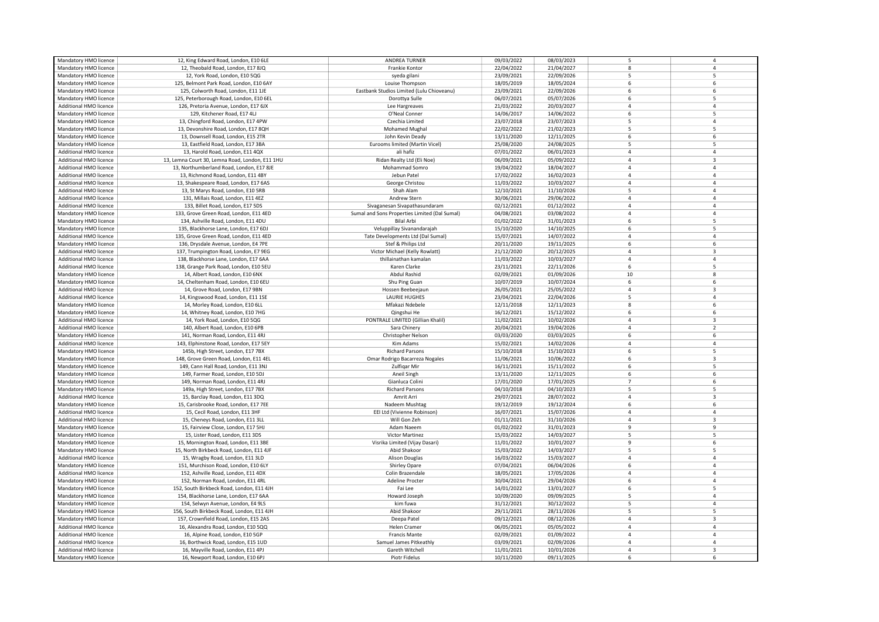| Mandatory HMO licence         | 12, King Edward Road, London, E10 6LE           | ANDREA TURNER                                 | 09/03/2022 | 08/03/2023 | 5              | $\overline{4}$          |
|-------------------------------|-------------------------------------------------|-----------------------------------------------|------------|------------|----------------|-------------------------|
| Mandatory HMO licence         | 12, Theobald Road, London, E17 8JQ              | Frankie Kontor                                | 22/04/2022 | 21/04/2027 | 8              | $\overline{4}$          |
| Mandatory HMO licence         | 12, York Road, London, E10 5QG                  | syeda gilani                                  | 23/09/2021 | 22/09/2026 | 5              | 5                       |
|                               |                                                 |                                               |            |            | 6              | 6                       |
| Mandatory HMO licence         | 125, Belmont Park Road, London, E10 6AY         | Louise Thompson                               | 18/05/2019 | 18/05/2024 |                |                         |
| Mandatory HMO licence         | 125, Colworth Road, London, E11 1JE             | Eastbank Studios Limited (Lulu Chioveanu)     | 23/09/2021 | 22/09/2026 | 6              | 6                       |
| Mandatory HMO licence         | 125, Peterborough Road, London, E10 6EL         | Dorottya Sulle                                | 06/07/2021 | 05/07/2026 | 6              | 5                       |
| Additional HMO licence        | 126, Pretoria Avenue, London, E17 6JX           | Lee Hargreaves                                | 21/03/2022 | 20/03/2027 | $\overline{4}$ | $\overline{4}$          |
| Mandatory HMO licence         | 129, Kitchener Road, E17 4LJ                    | O'Neal Conner                                 | 14/06/2017 | 14/06/2022 | 6              | 5                       |
| Mandatory HMO licence         | 13, Chingford Road, London, E17 4PW             | Czechia Limited                               | 23/07/2018 | 23/07/2023 | 5              | $\overline{4}$          |
| Mandatory HMO licence         | 13, Devonshire Road, London, E17 8QH            | Mohamed Mughal                                | 22/02/2022 | 21/02/2023 | 5              | 5                       |
|                               |                                                 |                                               |            |            | 6              | 6                       |
| Mandatory HMO licence         | 13, Downsell Road, London, E15 2TR              | John Kevin Deady                              | 13/11/2020 | 12/11/2025 |                |                         |
| Mandatory HMO licence         | 13, Eastfield Road, London, E17 3BA             | Eurooms limited (Martin Vicel)                | 25/08/2020 | 24/08/2025 | 5              | 5                       |
| Additional HMO licence        | 13, Harold Road, London, E11 4QX                | ali hafiz                                     | 07/01/2022 | 06/01/2023 | $\overline{4}$ | $\overline{4}$          |
| Additional HMO licence        | 13, Lemna Court 30, Lemna Road, London, E11 1HU | Ridan Realty Ltd (Eli Noe)                    | 06/09/2021 | 05/09/2022 | $\overline{4}$ | $\overline{\mathbf{3}}$ |
| <b>Additional HMO licence</b> | 13, Northumberland Road, London, E17 8JE        | Mohammad Somro                                | 19/04/2022 | 18/04/2027 | $\overline{4}$ | $\overline{4}$          |
| Additional HMO licence        | 13, Richmond Road, London, E11 4BY              | Jebun Patel                                   | 17/02/2022 | 16/02/2023 | $\overline{4}$ | $\overline{4}$          |
| <b>Additional HMO licence</b> | 13, Shakespeare Road, London, E17 6AS           | George Christou                               | 11/03/2022 | 10/03/2027 | $\overline{4}$ | $\overline{4}$          |
| Additional HMO licence        | 13, St Marys Road, London, E10 5RB              | Shah Alam                                     | 12/10/2021 | 11/10/2026 | 5              | $\overline{4}$          |
|                               |                                                 |                                               |            |            | $\overline{4}$ | $\overline{4}$          |
| Additional HMO licence        | 131, Millais Road, London, E11 4EZ              | Andrew Stern                                  | 30/06/2021 | 29/06/2022 |                |                         |
| Additional HMO licence        | 133, Billet Road, London, E17 5DS               | Sivaganesan Sivapathasundaram                 | 02/12/2021 | 01/12/2022 | $\Delta$       | $\overline{4}$          |
| Mandatory HMO licence         | 133, Grove Green Road, London, E11 4ED          | Sumal and Sons Properties Limited (Dal Sumal) | 04/08/2021 | 03/08/2022 | $\overline{4}$ | $\overline{4}$          |
| Mandatory HMO licence         | 134, Ashville Road, London, E11 4DU             | <b>Bilal Arbi</b>                             | 01/02/2022 | 31/01/2023 | 6              | 5                       |
| Mandatory HMO licence         | 135, Blackhorse Lane, London, E17 6DJ           | Veluppillay Sivanandarajah                    | 15/10/2020 | 14/10/2025 | 6              | 5                       |
| Additional HMO licence        | 135, Grove Green Road, London, E11 4ED          | Tate Developments Ltd (Dal Sumal)             | 15/07/2021 | 14/07/2022 | $\overline{4}$ | $\overline{4}$          |
| Mandatory HMO licence         | 136, Drysdale Avenue, London, E4 7PE            | Stef & Philips Ltd                            | 20/11/2020 | 19/11/2025 | 6              | 6                       |
| Additional HMO licence        | 137, Trumpington Road, London, E7 9EG           | Victor Michael (Kelly Rowlatt)                | 21/12/2020 | 20/12/2025 | $\Delta$       | $\overline{\mathbf{3}}$ |
|                               |                                                 |                                               |            |            |                |                         |
| Additional HMO licence        | 138, Blackhorse Lane, London, E17 6AA           | thillainathan kamalan                         | 11/03/2022 | 10/03/2027 | $\overline{4}$ | $\overline{4}$          |
| Additional HMO licence        | 138, Grange Park Road, London, E10 5EU          | Karen Clarke                                  | 23/11/2021 | 22/11/2026 | 6              | 5                       |
| Mandatory HMO licence         | 14, Albert Road, London, E10 6NX                | Abdul Rashid                                  | 02/09/2021 | 01/09/2026 | 10             | 8                       |
| Mandatory HMO licence         | 14, Cheltenham Road, London, E10 6EU            | Shu Ping Guan                                 | 10/07/2019 | 10/07/2024 | 6              | 6                       |
| Additional HMO licence        | 14, Grove Road, London, E17 9BN                 | Hossen Beebeejaun                             | 26/05/2021 | 25/05/2022 | $\overline{4}$ | $\overline{\mathbf{3}}$ |
| Additional HMO licence        | 14, Kingswood Road, London, E11 1SE             | <b>LAURIE HUGHES</b>                          | 23/04/2021 | 22/04/2026 | $\overline{5}$ | $\overline{4}$          |
| Mandatory HMO licence         | 14, Morley Road, London, E10 6LL                | Mfakazi Ndebele                               | 12/11/2018 | 12/11/2023 | 8              | 6                       |
| Mandatory HMO licence         |                                                 | Qingshui He                                   | 16/12/2021 | 15/12/2022 | 6              | 6                       |
|                               | 14, Whitney Road, London, E10 7HG               |                                               |            |            |                |                         |
| Additional HMO licence        | 14, York Road, London, E10 5QG                  | PONTRALE LIMITED (Gillian Khalil)             | 11/02/2021 | 10/02/2026 | $\overline{4}$ | $\overline{\mathbf{3}}$ |
| Additional HMO licence        | 140, Albert Road, London, E10 6PB               | Sara Chinery                                  | 20/04/2021 | 19/04/2026 | $\overline{a}$ | $\overline{2}$          |
| Mandatory HMO licence         | 141, Norman Road, London, E11 4RJ               | Christopher Nelson                            | 03/03/2020 | 03/03/2025 | 6              | 6                       |
| Additional HMO licence        | 143, Elphinstone Road, London, E17 5EY          | Kim Adams                                     | 15/02/2021 | 14/02/2026 | $\overline{4}$ | $\overline{4}$          |
| Mandatory HMO licence         | 145b, High Street, London, E17 7BX              | <b>Richard Parsons</b>                        | 15/10/2018 | 15/10/2023 | 6              | 5                       |
| Mandatory HMO licence         | 148, Grove Green Road, London, E11 4EL          | Omar Rodrigo Bacarreza Nogales                | 11/06/2021 | 10/06/2022 | 6              | $\overline{\mathbf{3}}$ |
| Mandatory HMO licence         | 149, Cann Hall Road, London, E11 3NJ            | Zulfiqar Mir                                  | 16/11/2021 | 15/11/2022 | 6              | 5                       |
| Mandatory HMO licence         |                                                 | Aneil Singh                                   | 13/11/2020 | 12/11/2025 | 6              | 6                       |
|                               | 149, Farmer Road, London, E10 5DJ               |                                               |            |            |                |                         |
| Mandatory HMO licence         | 149, Norman Road, London, E11 4RJ               | Gianluca Colini                               | 17/01/2020 | 17/01/2025 | $\overline{7}$ | 6                       |
| Mandatory HMO licence         | 149a, High Street, London, E17 7BX              | <b>Richard Parsons</b>                        | 04/10/2018 | 04/10/2023 | $\overline{5}$ | 5                       |
| Additional HMO licence        | 15, Barclay Road, London, E11 3DQ               | Amrit Arri                                    | 29/07/2021 | 28/07/2022 | $\overline{a}$ | $\overline{\mathbf{3}}$ |
| Mandatory HMO licence         | 15, Carisbrooke Road, London, E17 7EE           | Nadeem Mushtag                                | 19/12/2019 | 19/12/2024 | 6              | 6                       |
| Additional HMO licence        | 15, Cecil Road, London, E11 3HF                 | EEI Ltd (Vivienne Robinson)                   | 16/07/2021 | 15/07/2026 | $\overline{4}$ | $\overline{4}$          |
| Additional HMO licence        | 15, Cheneys Road, London, E11 3LL               | Will Gon Zeh                                  | 01/11/2021 | 31/10/2026 | $\overline{4}$ | $\overline{\mathbf{3}}$ |
| Mandatory HMO licence         | 15, Fairview Close, London, E17 5HJ             | Adam Naeem                                    | 01/02/2022 | 31/01/2023 | q              | $\mathbf{q}$            |
| Mandatory HMO licence         | 15, Lister Road, London, E11 3DS                | Victor Martinez                               | 15/03/2022 | 14/03/2027 | 5              | 5                       |
|                               |                                                 |                                               |            |            | $\mathbf{q}$   | 6                       |
| Mandatory HMO licence         | 15, Mornington Road, London, E11 3BE            | Visrika Limited (Vijay Dasari)                | 11/01/2022 | 10/01/2027 |                |                         |
| Mandatory HMO licence         | 15, North Birkbeck Road, London, E11 4JF        | Abid Shakoor                                  | 15/03/2022 | 14/03/2027 | 5              | 5                       |
| Additional HMO licence        | 15, Wragby Road, London, E11 3LD                | <b>Alison Douglas</b>                         | 16/03/2022 | 15/03/2027 | $\Delta$       | $\overline{4}$          |
| Mandatory HMO licence         | 151, Murchison Road, London, E10 6LY            | Shirley Opare                                 | 07/04/2021 | 06/04/2026 | 6              | $\overline{4}$          |
| Additional HMO licence        | 152, Ashville Road, London, E11 4DX             | Colin Brazendale                              | 18/05/2021 | 17/05/2026 | $\overline{4}$ | $\overline{4}$          |
| Mandatory HMO licence         | 152, Norman Road, London, E11 4RL               | Adeline Procter                               | 30/04/2021 | 29/04/2026 | 6              | $\overline{4}$          |
| Mandatory HMO licence         | 152, South Birkbeck Road, London, E11 4JH       | Fai Lee                                       | 14/01/2022 | 13/01/2027 | 6              | 5                       |
| Mandatory HMO licence         | 154, Blackhorse Lane, London, E17 6AA           | Howard Joseph                                 | 10/09/2020 | 09/09/2025 | 5              | $\overline{4}$          |
| Mandatory HMO licence         | 154, Selwyn Avenue, London, E4 9LS              | kim fuwa                                      | 31/12/2021 | 30/12/2022 | 5              | $\overline{4}$          |
| Mandatory HMO licence         |                                                 | Abid Shakoor                                  |            |            | 5              | 5                       |
|                               | 156, South Birkbeck Road, London, E11 4JH       |                                               | 29/11/2021 | 28/11/2026 |                |                         |
| Mandatory HMO licence         | 157, Crownfield Road, London, E15 2AS           | Deepa Patel                                   | 09/12/2021 | 08/12/2026 | $\overline{4}$ | $\overline{\mathbf{3}}$ |
| Additional HMO licence        | 16, Alexandra Road, London, E10 5QQ             | <b>Helen Cramer</b>                           | 06/05/2021 | 05/05/2022 | $\overline{4}$ | $\overline{4}$          |
| Additional HMO licence        | 16, Alpine Road, London, E10 5GP                | <b>Francis Mante</b>                          | 02/09/2021 | 01/09/2022 | $\overline{4}$ | $\overline{4}$          |
| <b>Additional HMO licence</b> | 16, Borthwick Road, London, E15 1UD             | Samuel James Pitkeathly                       | 03/09/2021 | 02/09/2026 | $\overline{a}$ | $\overline{4}$          |
| Additional HMO licence        | 16, Mayville Road, London, E11 4PJ              | Gareth Witchell                               | 11/01/2021 | 10/01/2026 | $\Delta$       | $\overline{\mathbf{3}}$ |
| Mandatory HMO licence         | 16, Newport Road, London, E10 6PJ               | Piotr Fidelus                                 | 10/11/2020 | 09/11/2025 | 6              | 6                       |
|                               |                                                 |                                               |            |            |                |                         |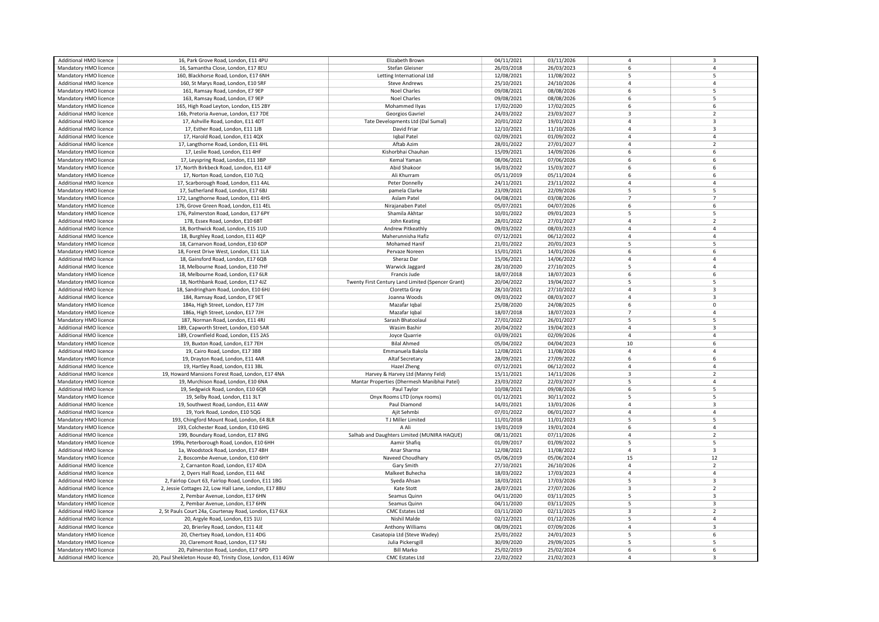| Additional HMO licence        | 16, Park Grove Road, London, E11 4PU                        | Elizabeth Brown                                   | 04/11/2021 | 03/11/2026 | $\overline{4}$          | $\overline{\mathbf{3}}$ |
|-------------------------------|-------------------------------------------------------------|---------------------------------------------------|------------|------------|-------------------------|-------------------------|
| Mandatory HMO licence         | 16, Samantha Close, London, E17 8EU                         | Stefan Gleisner                                   | 26/03/2018 | 26/03/2023 | 6                       | $\overline{4}$          |
| Mandatory HMO licence         | 160, Blackhorse Road, London, E17 6NH                       | Letting International Ltd                         | 12/08/2021 | 11/08/2022 | 5                       | 5                       |
|                               |                                                             |                                                   |            |            | $\Delta$                |                         |
| Additional HMO licence        | 160, St Marys Road, London, E10 5RF                         | <b>Steve Andrews</b>                              | 25/10/2021 | 24/10/2026 |                         | $\overline{4}$          |
| Mandatory HMO licence         | 161, Ramsay Road, London, E7 9EP                            | Noel Charles                                      | 09/08/2021 | 08/08/2026 | 6                       | 5                       |
| Mandatory HMO licence         | 163, Ramsay Road, London, E7 9EP                            | <b>Noel Charles</b>                               | 09/08/2021 | 08/08/2026 | 6                       | 5                       |
| Mandatory HMO licence         | 165, High Road Leyton, London, E15 2BY                      | Mohammed IIyas                                    | 17/02/2020 | 17/02/2025 | 6                       | 6                       |
| Additional HMO licence        | 16b, Pretoria Avenue, London, E17 7DE                       | Georgios Gavriel                                  | 24/03/2022 | 23/03/2027 | $\overline{3}$          | $\overline{2}$          |
| <b>Additional HMO licence</b> | 17, Ashville Road, London, E11 4DT                          | Tate Developments Ltd (Dal Sumal)                 | 20/01/2022 | 19/01/2023 | $\overline{4}$          | $\overline{\mathbf{3}}$ |
| Additional HMO licence        | 17, Esther Road, London, E11 1JB                            | David Friar                                       | 12/10/2021 | 11/10/2026 | $\overline{4}$          | $\overline{3}$          |
|                               |                                                             |                                                   |            |            |                         |                         |
| Additional HMO licence        | 17, Harold Road, London, E11 4QX                            | Igbal Patel                                       | 02/09/2021 | 01/09/2022 | $\overline{4}$          | $\overline{4}$          |
| Additional HMO licence        | 17, Langthorne Road, London, E11 4HL                        | Aftab Azim                                        | 28/01/2022 | 27/01/2027 | $\overline{4}$          | $\overline{2}$          |
| Mandatory HMO licence         | 17, Leslie Road, London, E11 4HF                            | Kishorbhai Chauhan                                | 15/09/2021 | 14/09/2026 | 6                       | 6                       |
| Mandatory HMO licence         | 17, Leyspring Road, London, E11 3BP                         | Kemal Yaman                                       | 08/06/2021 | 07/06/2026 | 6                       | 6                       |
| Mandatory HMO licence         | 17, North Birkbeck Road, London, E11 4JF                    | Abid Shakoor                                      | 16/03/2022 | 15/03/2027 | 6                       | 6                       |
| Mandatory HMO licence         | 17, Norton Road, London, E10 7LQ                            | Ali Khurram                                       | 05/11/2019 | 05/11/2024 | 6                       | 6                       |
| Additional HMO licence        | 17, Scarborough Road, London, E11 4AL                       | Peter Donnelly                                    | 24/11/2021 | 23/11/2022 | $\overline{4}$          | $\overline{4}$          |
|                               |                                                             |                                                   |            |            | 5                       | 5                       |
| Mandatory HMO licence         | 17, Sutherland Road, London, E17 6BJ                        | pamela Clarke                                     | 23/09/2021 | 22/09/2026 |                         |                         |
| Mandatory HMO licence         | 172, Langthorne Road, London, E11 4HS                       | Aslam Patel                                       | 04/08/2021 | 03/08/2026 | $\overline{7}$          | $\overline{7}$          |
| Mandatory HMO licence         | 176, Grove Green Road, London, E11 4EL                      | Nirajanaben Patel                                 | 05/07/2021 | 04/07/2026 | 6                       | 6                       |
| Mandatory HMO licence         | 176, Palmerston Road, London, E17 6PY                       | Shamila Akhtar                                    | 10/01/2022 | 09/01/2023 | 5                       | 5                       |
| Additional HMO licence        | 178, Essex Road, London, E10 6BT                            | John Keating                                      | 28/01/2022 | 27/01/2027 | $\overline{4}$          | $\overline{2}$          |
| Additional HMO licence        | 18, Borthwick Road, London, E15 1UD                         | Andrew Pitkeathly                                 | 09/03/2022 | 08/03/2023 | $\Delta$                | $\overline{4}$          |
| <b>Additional HMO licence</b> | 18, Burghley Road, London, E11 4QP                          | Maherunnisha Hafiz                                | 07/12/2021 | 06/12/2022 | $\overline{4}$          | $\overline{4}$          |
|                               |                                                             | <b>Mohamed Hanif</b>                              |            |            | 5                       | 5                       |
| Mandatory HMO licence         | 18, Carnarvon Road, London, E10 6DP                         |                                                   | 21/01/2022 | 20/01/2023 |                         |                         |
| Mandatory HMO licence         | 18, Forest Drive West, London, E11 1LA                      | Pervaze Noreen                                    | 15/01/2021 | 14/01/2026 | 6                       | 6                       |
| <b>Additional HMO licence</b> | 18, Gainsford Road, London, E17 6QB                         | Sheraz Dar                                        | 15/06/2021 | 14/06/2022 | $\overline{4}$          | $\overline{4}$          |
| Additional HMO licence        | 18, Melbourne Road, London, E10 7HF                         | Warwick Jaggard                                   | 28/10/2020 | 27/10/2025 | 5                       | $\overline{4}$          |
| Mandatory HMO licence         | 18, Melbourne Road, London, E17 6LR                         | Francis Jude                                      | 18/07/2018 | 18/07/2023 | 6                       | 6                       |
| Mandatory HMO licence         | 18, Northbank Road, London, E17 4JZ                         | Twenty First Century Land Limited (Spencer Grant) | 20/04/2022 | 19/04/2027 | 5                       | 5                       |
| Additional HMO licence        | 18, Sandringham Road, London, E10 6HJ                       | Cloretta Gray                                     | 28/10/2021 | 27/10/2022 | $\overline{4}$          | $\overline{\mathbf{3}}$ |
|                               |                                                             |                                                   |            |            | 4                       | $\overline{3}$          |
| <b>Additional HMO licence</b> | 184, Ramsay Road, London, E7 9ET                            | Joanna Woods                                      | 09/03/2022 | 08/03/2027 |                         |                         |
| Mandatory HMO licence         | 184a, High Street, London, E17 7JH                          | Mazafar Iqbal                                     | 25/08/2020 | 24/08/2025 | 6                       | $\mathbf 0$             |
| Mandatory HMO licence         | 186a, High Street, London, E17 7JH                          | Mazafar Iqbal                                     | 18/07/2018 | 18/07/2023 | $\overline{7}$          | $\overline{4}$          |
| Mandatory HMO licence         | 187, Norman Road, London, E11 4RJ                           | Sarash Bhatoolaul                                 | 27/01/2022 | 26/01/2027 | 5                       | 5                       |
| <b>Additional HMO licence</b> | 189, Capworth Street, London, E10 5AR                       | Wasim Bashir                                      | 20/04/2022 | 19/04/2023 | $\overline{4}$          | $\overline{\mathbf{3}}$ |
| Additional HMO licence        | 189, Crownfield Road, London, E15 2AS                       | Joyce Quarrie                                     | 03/09/2021 | 02/09/2026 | $\Delta$                | $\overline{4}$          |
| Mandatory HMO licence         | 19, Buxton Road, London, E17 7EH                            | <b>Bilal Ahmed</b>                                | 05/04/2022 | 04/04/2023 | 10                      | 6                       |
|                               |                                                             | Emmanuela Bakola                                  |            |            | $\overline{4}$          | $\overline{4}$          |
| Additional HMO licence        | 19, Cairo Road, London, E17 3BB                             |                                                   | 12/08/2021 | 11/08/2026 |                         |                         |
| Mandatory HMO licence         | 19, Drayton Road, London, E11 4AR                           | Altaf Secretary                                   | 28/09/2021 | 27/09/2022 | 6                       | 6                       |
| Additional HMO licence        | 19, Hartley Road, London, E11 3BL                           | Hazel Zheng                                       | 07/12/2021 | 06/12/2022 | $\Delta$                | $\overline{4}$          |
| Additional HMO licence        | 19, Howard Mansions Forest Road, London, E17 4NA            | Harvey & Harvey Ltd (Manny Feld)                  | 15/11/2021 | 14/11/2026 | $\overline{3}$          | $\overline{2}$          |
| Mandatory HMO licence         | 19, Murchison Road, London, E10 6NA                         | Mantar Properties (Dhermesh Manibhai Patel)       | 23/03/2022 | 22/03/2027 | 5                       | $\overline{4}$          |
| Additional HMO licence        | 19, Sedgwick Road, London, E10 6QR                          | Paul Taylor                                       | 10/08/2021 | 09/08/2026 | 6                       | 5                       |
| Mandatory HMO licence         | 19, Selby Road, London, E11 3LT                             | Onyx Rooms LTD (onyx rooms)                       | 01/12/2021 | 30/11/2022 | 5                       | 5                       |
| Additional HMO licence        | 19, Southwest Road, London, E11 4AW                         | Paul Diamond                                      | 14/01/2021 | 13/01/2026 | $\overline{4}$          | $\overline{\mathbf{3}}$ |
|                               |                                                             |                                                   |            |            | $\overline{4}$          |                         |
| Additional HMO licence        | 19, York Road, London, E10 5QG                              | Ajit Sehmbi                                       | 07/01/2022 | 06/01/2027 |                         | $\overline{4}$          |
| Mandatory HMO licence         | 193, Chingford Mount Road, London, E4 8LR                   | T J Miller Limited                                | 11/01/2018 | 11/01/2023 | 5                       | 5                       |
| Mandatory HMO licence         | 193, Colchester Road, London, E10 6HG                       | A Ali                                             | 19/01/2019 | 19/01/2024 | 6                       | $\overline{4}$          |
| Additional HMO licence        | 199, Boundary Road, London, E17 8NG                         | Salhab and Daughters Limited (MUNIRA HAQUE)       | 08/11/2021 | 07/11/2026 | $\overline{4}$          | $\overline{2}$          |
| Mandatory HMO licence         | 199a, Peterborough Road, London, E10 6HH                    | Aamir Shafiq                                      | 01/09/2017 | 01/09/2022 | 5                       | 5                       |
| Additional HMO licence        | 1a, Woodstock Road, London, E17 4BH                         | Anar Sharma                                       | 12/08/2021 | 11/08/2022 | $\overline{4}$          | $\overline{3}$          |
| Mandatory HMO licence         | 2, Boscombe Avenue, London, E10 6HY                         | Naveed Choudhary                                  | 05/06/2019 | 05/06/2024 | 15                      | 12                      |
| Additional HMO licence        |                                                             |                                                   |            |            | $\overline{4}$          | $\overline{2}$          |
|                               | 2, Carnanton Road, London, E17 4DA                          | Gary Smith                                        | 27/10/2021 | 26/10/2026 |                         |                         |
| <b>Additional HMO licence</b> | 2, Dyers Hall Road, London, E11 4AE                         | Malkeet Buhecha                                   | 18/03/2022 | 17/03/2023 | $\overline{4}$          | $\overline{4}$          |
| Additional HMO licence        | 2, Fairlop Court 63, Fairlop Road, London, E11 1BG          | Syeda Ahsan                                       | 18/03/2021 | 17/03/2026 | 5                       | $\overline{3}$          |
| Additional HMO licence        | 2, Jessie Cottages 22, Low Hall Lane, London, E17 8BU       | Kate Stott                                        | 28/07/2021 | 27/07/2026 | $\overline{3}$          | $\overline{2}$          |
| Mandatory HMO licence         | 2, Pembar Avenue, London, E17 6HN                           | Seamus Quinn                                      | 04/11/2020 | 03/11/2025 | 5                       | $\overline{\mathbf{3}}$ |
| Mandatory HMO licence         | 2, Pembar Avenue, London, E17 6HN                           | Seamus Quinn                                      | 04/11/2020 | 03/11/2025 | 5                       | $\overline{3}$          |
| Additional HMO licence        | 2, St Pauls Court 24a, Courtenay Road, London, E17 6LX      | <b>CMC Estates Ltd</b>                            | 03/11/2020 | 02/11/2025 | $\overline{\mathbf{3}}$ | $\overline{2}$          |
| Additional HMO licence        | 20, Argyle Road, London, E15 1UJ                            | Nishil Malde                                      | 02/12/2021 | 01/12/2026 | 5                       | $\overline{4}$          |
|                               |                                                             |                                                   |            |            | $\overline{4}$          | $\overline{3}$          |
| Additional HMO licence        | 20, Brierley Road, London, E11 4JE                          | Anthony Williams                                  | 08/09/2021 | 07/09/2026 |                         |                         |
| Mandatory HMO licence         | 20, Chertsey Road, London, E11 4DG                          | Casatopia Ltd (Steve Wadey)                       | 25/01/2022 | 24/01/2023 | 5                       | 6                       |
| Mandatory HMO licence         | 20, Claremont Road, London, E17 5RJ                         | Julia Pickersgill                                 | 30/09/2020 | 29/09/2025 | 5                       | 5                       |
| Mandatory HMO licence         | 20, Palmerston Road, London, E17 6PD                        | <b>Bill Marko</b>                                 | 25/02/2019 | 25/02/2024 | 6                       | 6                       |
| Additional HMO licence        | 20, Paul Shekleton House 40, Trinity Close, London, E11 4GW | <b>CMC</b> Estates Ltd                            | 22/02/2022 | 21/02/2023 | $\Delta$                | $\overline{\mathbf{z}}$ |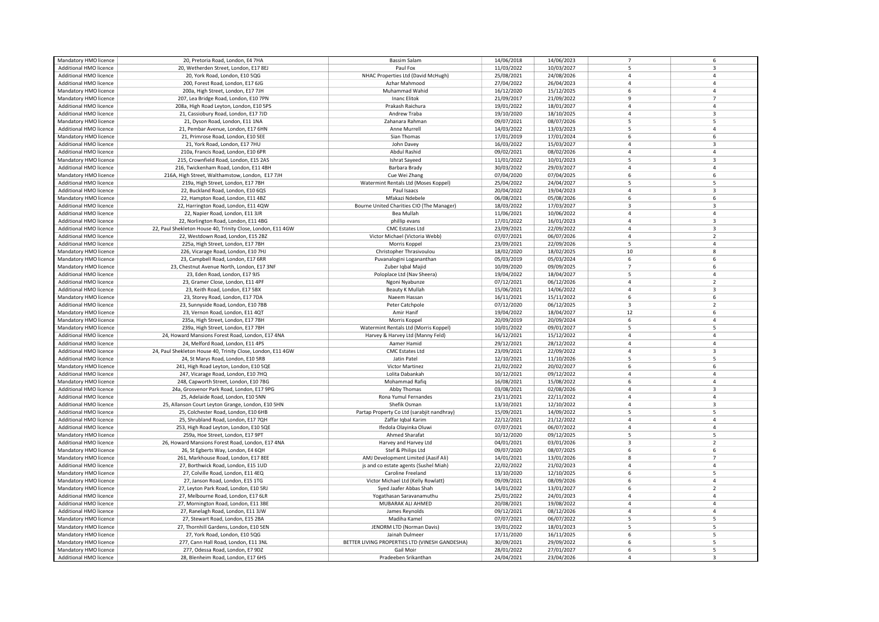| Mandatory HMO licence         | 20, Pretoria Road, London, E4 7HA                           | <b>Bassim Salam</b>                            | 14/06/2018 | 14/06/2023 |                         | 6                       |
|-------------------------------|-------------------------------------------------------------|------------------------------------------------|------------|------------|-------------------------|-------------------------|
| Additional HMO licence        | 20, Wetherden Street, London, E17 8EJ                       | Paul Fox                                       | 11/03/2022 | 10/03/2027 | 5                       | $\overline{3}$          |
| <b>Additional HMO licence</b> | 20, York Road, London, E10 5QG                              | NHAC Properties Ltd (David McHugh)             | 25/08/2021 | 24/08/2026 | $\overline{4}$          | $\overline{4}$          |
|                               |                                                             |                                                |            |            |                         |                         |
| Additional HMO licence        | 200, Forest Road, London, E17 6JG                           | Azhar Mahmood                                  | 27/04/2022 | 26/04/2023 | $\overline{a}$          | $\overline{4}$          |
| Mandatory HMO licence         | 200a, High Street, London, E17 7JH                          | Muhammad Wahid                                 | 16/12/2020 | 15/12/2025 | 6                       | $\overline{4}$          |
| Mandatory HMO licence         | 207, Lea Bridge Road, London, E10 7PN                       | <b>Inanc Elitok</b>                            | 21/09/2017 | 21/09/2022 | 9                       | $\overline{7}$          |
| Additional HMO licence        | 208a, High Road Leyton, London, E10 5PS                     | Prakash Raichura                               | 19/01/2022 | 18/01/2027 | $\Delta$                | $\overline{4}$          |
| Additional HMO licence        | 21, Cassiobury Road, London, E17 7JD                        | Andrew Traba                                   | 19/10/2020 | 18/10/2025 | $\overline{a}$          | $\overline{\mathbf{3}}$ |
| Mandatory HMO licence         | 21, Dyson Road, London, E11 1NA                             | Zahanara Rahman                                | 09/07/2021 | 08/07/2026 | 5                       | 5                       |
| Additional HMO licence        | 21, Pembar Avenue, London, E17 6HN                          | Anne Murrell                                   | 14/03/2022 | 13/03/2023 | 5                       | $\overline{4}$          |
|                               |                                                             |                                                |            |            |                         |                         |
| Mandatory HMO licence         | 21, Primrose Road, London, E10 5EE                          | Sian Thomas                                    | 17/01/2019 | 17/01/2024 | 6                       | 6                       |
| Additional HMO licence        | 21, York Road, London, E17 7HU                              | John Davey                                     | 16/03/2022 | 15/03/2027 | $\overline{4}$          | $\overline{\mathbf{3}}$ |
| <b>Additional HMO licence</b> | 210a, Francis Road, London, E10 6PR                         | Abdul Rashid                                   | 09/02/2021 | 08/02/2026 | $\overline{a}$          | $\overline{4}$          |
| Mandatory HMO licence         | 215, Crownfield Road, London, E15 2AS                       | <b>Ishrat Sayeed</b>                           | 11/01/2022 | 10/01/2023 | 5                       | $\overline{\mathbf{3}}$ |
| <b>Additional HMO licence</b> | 216, Twickenham Road, London, E11 4BH                       | Barbara Brady                                  | 30/03/2022 | 29/03/2027 | $\overline{4}$          | $\overline{4}$          |
| Mandatory HMO licence         | 216A, High Street, Walthamstow, London, E17 7JH             | Cue Wei Zhang                                  | 07/04/2020 | 07/04/2025 | 6                       | 6                       |
| Additional HMO licence        |                                                             |                                                |            |            | 5                       | 5                       |
|                               | 219a, High Street, London, E17 7BH                          | Watermint Rentals Ltd (Moses Koppel)           | 25/04/2022 | 24/04/2027 |                         |                         |
| <b>Additional HMO licence</b> | 22, Buckland Road, London, E10 6QS                          | Paul Isaacs                                    | 20/04/2022 | 19/04/2023 | $\overline{a}$          | $\overline{3}$          |
| Mandatory HMO licence         | 22, Hampton Road, London, E11 4BZ                           | Mfakazi Ndebele                                | 06/08/2021 | 05/08/2026 | 6                       | 6                       |
| Additional HMO licence        | 22, Harrington Road, London, E11 4QW                        | Bourne United Charities CIO (The Manager)      | 18/03/2022 | 17/03/2027 | $\overline{3}$          | $\overline{3}$          |
| Additional HMO licence        | 22, Napier Road, London, E11 3JR                            | Bea Mullah                                     | 11/06/2021 | 10/06/2022 | $\overline{4}$          | $\overline{4}$          |
| <b>Additional HMO licence</b> | 22, Norlington Road, London, E11 4BG                        | phillip evans                                  | 17/01/2022 | 16/01/2023 | $\overline{a}$          | $\overline{3}$          |
| Additional HMO licence        | 22, Paul Shekleton House 40, Trinity Close, London, E11 4GW | CMC Estates Ltd                                | 23/09/2021 | 22/09/2022 | $\overline{4}$          | $\overline{\mathbf{3}}$ |
|                               |                                                             |                                                |            |            | $\overline{4}$          |                         |
| Additional HMO licence        | 22, Westdown Road, London, E15 2BZ                          | Victor Michael (Victoria Webb)                 | 07/07/2021 | 06/07/2026 |                         | $\overline{2}$          |
| <b>Additional HMO licence</b> | 225a, High Street, London, E17 7BH                          | Morris Koppel                                  | 23/09/2021 | 22/09/2026 | 5                       | $\overline{4}$          |
| Mandatory HMO licence         | 226, Vicarage Road, London, E10 7HJ                         | Christopher Thrasivoulou                       | 18/02/2020 | 18/02/2025 | 10                      | 8                       |
| Mandatory HMO licence         | 23, Campbell Road, London, E17 6RR                          | Puvanalogini Logananthan                       | 05/03/2019 | 05/03/2024 | 6                       | 6                       |
| Mandatory HMO licence         | 23, Chestnut Avenue North, London, E17 3NF                  | Zuber Iqbal Majid                              | 10/09/2020 | 09/09/2025 | $\overline{7}$          | 6                       |
| Additional HMO licence        | 23, Eden Road, London, E17 9JS                              | Poloplace Ltd (Nav Sheera)                     | 19/04/2022 | 18/04/2027 | 5                       | $\overline{4}$          |
| Additional HMO licence        | 23, Gramer Close, London, E11 4PF                           |                                                |            | 06/12/2026 | $\overline{4}$          | $\overline{2}$          |
|                               |                                                             | Ngoni Nyabunze                                 | 07/12/2021 |            |                         |                         |
| Additional HMO licence        | 23, Keith Road, London, E17 5BX                             | Beauty K Mullah                                | 15/06/2021 | 14/06/2022 | $\overline{4}$          | $\overline{\mathbf{3}}$ |
| Mandatory HMO licence         | 23, Storey Road, London, E17 7DA                            | Naeem Hassan                                   | 16/11/2021 | 15/11/2022 | 6                       | 6                       |
| Additional HMO licence        | 23, Sunnyside Road, London, E10 7BB                         | Peter Catchpole                                | 07/12/2020 | 06/12/2025 | $\overline{\mathbf{3}}$ | $\overline{2}$          |
| Mandatory HMO licence         | 23, Vernon Road, London, E11 4QT                            | Amir Hanif                                     | 19/04/2022 | 18/04/2027 | 12                      | 6                       |
| Mandatory HMO licence         | 235a, High Street, London, E17 7BH                          | Morris Koppel                                  | 20/09/2019 | 20/09/2024 | 6                       | $\overline{4}$          |
| Mandatory HMO licence         | 239a, High Street, London, E17 7BH                          | Watermint Rentals Ltd (Morris Koppel)          | 10/01/2022 | 09/01/2027 | 5                       | 5                       |
| Additional HMO licence        | 24, Howard Mansions Forest Road, London, E17 4NA            | Harvey & Harvey Ltd (Manny Feld)               | 16/12/2021 | 15/12/2022 | $\overline{4}$          | $\overline{4}$          |
|                               |                                                             |                                                |            |            |                         |                         |
| Additional HMO licence        | 24, Melford Road, London, E11 4PS                           | Aamer Hamid                                    | 29/12/2021 | 28/12/2022 | $\overline{4}$          | $\overline{4}$          |
| <b>Additional HMO licence</b> | 24, Paul Shekleton House 40, Trinity Close, London, E11 4GW | <b>CMC</b> Estates Ltd                         | 23/09/2021 | 22/09/2022 | $\overline{4}$          | $\overline{\mathbf{3}}$ |
| Additional HMO licence        | 24, St Marys Road, London, E10 5RB                          | Jatin Patel                                    | 12/10/2021 | 11/10/2026 | 5                       | 5                       |
| Mandatory HMO licence         | 241, High Road Leyton, London, E10 5QE                      | Victor Martinez                                | 21/02/2022 | 20/02/2027 | 6                       | 6                       |
| Additional HMO licence        | 247, Vicarage Road, London, E10 7HQ                         | Lolita Dabankah                                | 10/12/2021 | 09/12/2022 | $\overline{4}$          | $\overline{4}$          |
| Mandatory HMO licence         | 248, Capworth Street, London, E10 7BG                       | Mohammad Rafiq                                 | 16/08/2021 | 15/08/2022 | 6                       | $\overline{4}$          |
| Additional HMO licence        | 24a, Grosvenor Park Road, London, E17 9PG                   | Abby Thomas                                    | 03/08/2021 | 02/08/2026 | $\overline{4}$          | $\overline{\mathbf{3}}$ |
|                               |                                                             |                                                |            |            | $\Delta$                |                         |
| Additional HMO licence        | 25, Adelaide Road, London, E10 5NN                          | Rona Yumul Fernandes                           | 23/11/2021 | 22/11/2022 |                         | $\overline{4}$          |
| Additional HMO licence        | 25, Allanson Court Leyton Grange, London, E10 5HN           | Shefik Osman                                   | 13/10/2021 | 12/10/2022 | $\overline{4}$          | $\overline{\mathbf{3}}$ |
| Additional HMO licence        | 25, Colchester Road, London, E10 6HB                        | Partap Property Co Ltd (sarabjit nandhray)     | 15/09/2021 | 14/09/2022 | $\overline{5}$          | 5                       |
| <b>Additional HMO licence</b> | 25, Shrubland Road, London, E17 7QH                         | Zaffar Igbal Karim                             | 22/12/2021 | 21/12/2022 | $\overline{a}$          | $\overline{4}$          |
| Additional HMO licence        | 253, High Road Leyton, London, E10 5QE                      | Ifedola Olayinka Oluwi                         | 07/07/2021 | 06/07/2022 | $\overline{a}$          | $\overline{4}$          |
| Mandatory HMO licence         | 259a, Hoe Street, London, E17 9PT                           | Ahmed Sharafat                                 | 10/12/2020 | 09/12/2025 | 5                       | 5                       |
| Additional HMO licence        | 26, Howard Mansions Forest Road, London, E17 4NA            | Harvey and Harvey Ltd                          | 04/01/2021 | 03/01/2026 | $\overline{\mathbf{3}}$ | $\overline{2}$          |
| Mandatory HMO licence         | 26, St Egberts Way, London, E4 6QH                          | Stef & Philips Ltd                             | 09/07/2020 | 08/07/2025 | 6                       | 6                       |
|                               |                                                             |                                                |            |            |                         |                         |
| Mandatory HMO licence         | 261, Markhouse Road, London, E17 8EE                        | AMJ Development Limited (Aasif Ali)            | 14/01/2021 | 13/01/2026 | 8                       | $\overline{7}$          |
| Additional HMO licence        | 27, Borthwick Road, London, E15 1UD                         | js and co estate agents (Sushel Miah)          | 22/02/2022 | 21/02/2023 | $\overline{4}$          | $\overline{4}$          |
| Mandatory HMO licence         | 27, Colville Road, London, E11 4EQ                          | Caroline Freeland                              | 13/10/2020 | 12/10/2025 | 6                       | 5                       |
| Mandatory HMO licence         | 27, Janson Road, London, E15 1TG                            | Victor Michael Ltd (Kelly Rowlatt)             | 09/09/2021 | 08/09/2026 | 6                       | $\overline{4}$          |
| Mandatory HMO licence         | 27, Leyton Park Road, London, E10 5RJ                       | Syed Jaafer Abbas Shah                         | 14/01/2022 | 13/01/2027 | 6                       | $\overline{2}$          |
| Additional HMO licence        | 27, Melbourne Road, London, E17 6LR                         | Yogathasan Saravanamuthu                       | 25/01/2022 | 24/01/2023 | $\Delta$                | $\Delta$                |
| Additional HMO licence        |                                                             | MUBARAK ALI AHMED                              |            |            | $\overline{4}$          | $\overline{4}$          |
|                               | 27, Mornington Road, London, E11 3BE                        |                                                | 20/08/2021 | 19/08/2022 |                         |                         |
| Additional HMO licence        | 27, Ranelagh Road, London, E11 3JW                          | James Reynolds                                 | 09/12/2021 | 08/12/2026 | $\overline{4}$          | $\overline{4}$          |
| Mandatory HMO licence         | 27, Stewart Road, London, E15 2BA                           | Madiha Kamel                                   | 07/07/2021 | 06/07/2022 | 5                       | 5                       |
| Mandatory HMO licence         | 27, Thornhill Gardens, London, E10 5EN                      | <b>JENORM LTD (Norman Davis)</b>               | 19/01/2022 | 18/01/2023 | 5                       | 5                       |
| Mandatory HMO licence         | 27, York Road, London, E10 5QG                              | Jainah Dulmeer                                 | 17/11/2020 | 16/11/2025 | 6                       | 5                       |
| Mandatory HMO licence         | 277, Cann Hall Road, London, E11 3NL                        | BETTER LIVING PROPERTIES LTD (VINESH GANDESHA) | 30/09/2021 | 29/09/2022 | 6                       | 5                       |
| Mandatory HMO licence         | 277, Odessa Road, London, E7 9DZ                            | Gail Moir                                      | 28/01/2022 | 27/01/2027 | 6                       | 5                       |
|                               |                                                             |                                                |            |            | $\Delta$                | $\overline{\mathbf{a}}$ |
| Additional HMO licence        | 28, Blenheim Road, London, E17 6HS                          | Pradeeben Srikanthan                           | 24/04/2021 | 23/04/2026 |                         |                         |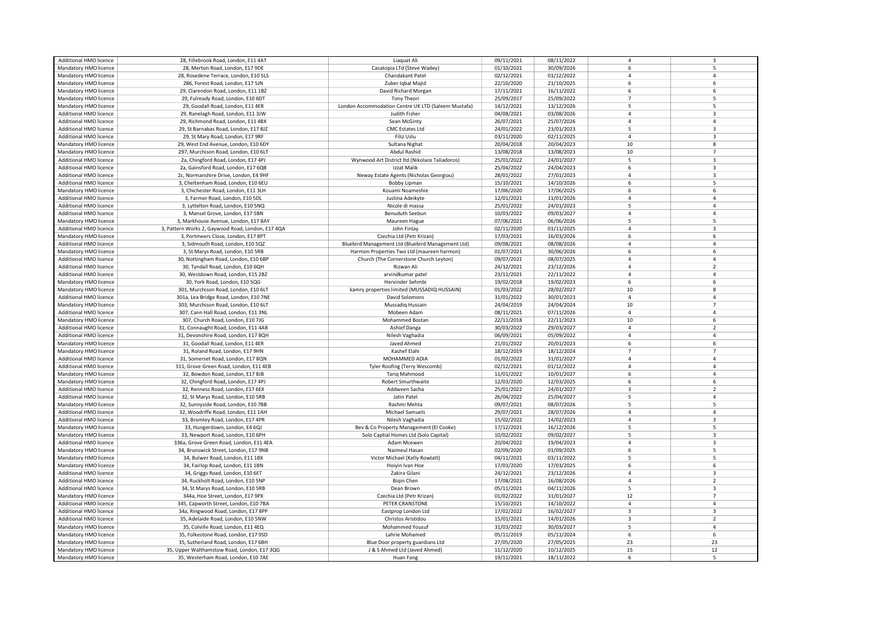| Additional HMO licence        | 28, Fillebrook Road, London, E11 4AT              | Liaquat Ali                                         | 09/11/2021 | 08/11/2022 | $\overline{4}$          | $\overline{\mathbf{3}}$ |
|-------------------------------|---------------------------------------------------|-----------------------------------------------------|------------|------------|-------------------------|-------------------------|
| Mandatory HMO licence         | 28, Merton Road, London, E17 9DE                  | Casatopia LTd (Steve Wadey)                         | 01/10/2021 | 30/09/2026 | 6                       | 5                       |
|                               |                                                   | Chandakant Patel                                    |            | 01/12/2022 | $\overline{4}$          | $\overline{4}$          |
| Mandatory HMO licence         | 28, Rosedene Terrace, London, E10 5LS             |                                                     | 02/12/2021 |            |                         |                         |
| Mandatory HMO licence         | 286, Forest Road, London, E17 5JN                 | Zuber Iqbal Majid                                   | 22/10/2020 | 21/10/2025 | 6                       | 6                       |
| Mandatory HMO licence         | 29, Clarendon Road, London, E11 1BZ               | David Richard Morgan                                | 17/11/2021 | 16/11/2022 | 6                       | 6                       |
| Mandatory HMO licence         | 29, Fulready Road, London, E10 6DT                | <b>Tony Theori</b>                                  | 25/09/2017 | 25/09/2022 | $\overline{7}$          | 5                       |
| Mandatory HMO licence         | 29, Goodall Road, London, E11 4ER                 | London Accommodation Centre UK LTD (Saleem Mustafa) | 14/12/2021 | 13/12/2026 | 5                       | 5                       |
| Additional HMO licence        | 29, Ranelagh Road, London, E11 3JW                | Judith Fisher                                       | 04/08/2021 | 03/08/2026 | $\overline{4}$          | $\overline{3}$          |
| <b>Additional HMO licence</b> | 29, Richmond Road, London, E11 4BX                | Sean McGinty                                        | 26/07/2021 | 25/07/2026 | $\overline{4}$          | $\overline{4}$          |
| Additional HMO licence        | 29, St Barnabas Road, London, E17 8JZ             | <b>CMC Estates Ltd</b>                              | 24/01/2022 | 23/01/2023 | 5                       | $\overline{3}$          |
|                               |                                                   |                                                     |            |            |                         |                         |
| Additional HMO licence        | 29, St Mary Road, London, E17 9RF                 | Filiz Uslu                                          | 03/11/2020 | 02/11/2025 | $\overline{4}$          | $\overline{\mathbf{3}}$ |
| Mandatory HMO licence         | 29, West End Avenue, London, E10 6DY              | Sultana Nighat                                      | 20/04/2018 | 20/04/2023 | 10                      | 8                       |
| Mandatory HMO licence         | 297, Murchison Road, London, E10 6LT              | Abdul Rashid                                        | 13/08/2018 | 13/08/2023 | 10                      | $\overline{7}$          |
| Additional HMO licence        | 2a, Chingford Road, London, E17 4PJ               | Wynwood Art District ltd (Nikolaos Taliadoros)      | 25/01/2022 | 24/01/2027 | 5                       | $\overline{\mathbf{3}}$ |
| Additional HMO licence        | 2a, Gainsford Road, London, E17 6QB               | Izzat Malik                                         | 25/04/2022 | 24/04/2023 | 6                       | $\overline{3}$          |
| Additional HMO licence        | 2c, Normanshire Drive, London, E4 9HF             | Neway Estate Agents (Nicholas Georgiou)             | 28/01/2022 | 27/01/2023 | $\overline{4}$          | $\overline{\mathbf{3}}$ |
| <b>Additional HMO licence</b> | 3, Cheltenham Road, London, E10 6EU               | Bobby Lipman                                        | 15/10/2021 | 14/10/2026 | 6                       | 5                       |
| Mandatory HMO licence         | 3, Chichester Road, London, E11 3LH               | Kouami Noameshie                                    |            | 17/06/2025 | 6                       | 6                       |
|                               |                                                   |                                                     | 17/06/2020 |            |                         |                         |
| Additional HMO licence        | 3, Farmer Road, London, E10 5DL                   | Justina Adeikyte                                    | 12/01/2021 | 11/01/2026 | $\overline{4}$          | $\overline{4}$          |
| Additional HMO licence        | 3, Lyttelton Road, London, E10 5NQ                | Nicole di massa                                     | 25/01/2022 | 24/01/2023 | 5                       | $\overline{4}$          |
| <b>Additional HMO licence</b> | 3, Mansel Grove, London, E17 5BN                  | <b>Benuduth Seebun</b>                              | 10/03/2022 | 09/03/2027 | $\overline{4}$          | $\overline{4}$          |
| Mandatory HMO licence         | 3, Markhouse Avenue, London, E17 8AY              | Maureen Hague                                       | 07/06/2021 | 06/06/2026 | 5                       | $\overline{5}$          |
| Additional HMO licence        | 3, Pattern Works 2, Gaywood Road, London, E17 4QA | John Finlay                                         | 02/11/2020 | 01/11/2025 | $\overline{4}$          | $\overline{\mathbf{3}}$ |
| Mandatory HMO licence         | 3, Portmeers Close, London, E17 8PT               | Czechia Ltd (Petr Krizan)                           | 17/03/2021 | 16/03/2026 | 6                       | 6                       |
| Additional HMO licence        | 3, Sidmouth Road, London, E10 5QZ                 | Bluebird Management Ltd (Bluebird Management Ltd)   | 09/08/2021 | 08/08/2026 | $\overline{4}$          | $\overline{4}$          |
|                               |                                                   |                                                     |            |            |                         |                         |
| Mandatory HMO licence         | 3, St Marys Road, London, E10 5RB                 | Harmon Properties Two Ltd (maureen harmon)          | 01/07/2021 | 30/06/2026 | 6                       | 6                       |
| Additional HMO licence        | 30, Nottingham Road, London, E10 6BP              | Church (The Cornerstone Church Leyton)              | 09/07/2021 | 08/07/2025 | $\overline{4}$          | $\overline{4}$          |
| Additional HMO licence        | 30, Tyndall Road, London, E10 6QH                 | Rizwan Ali                                          | 24/12/2021 | 23/12/2026 | $\overline{4}$          | $\overline{2}$          |
| Additional HMO licence        | 30, Westdown Road, London, E15 2BZ                | arvindkumar patel                                   | 23/11/2021 | 22/11/2022 | $\Delta$                | $\overline{4}$          |
| Mandatory HMO licence         | 30, York Road, London, E10 5QG                    | Hervinder Sehmbi                                    | 19/02/2018 | 19/02/2023 | 6                       | 6                       |
| Mandatory HMO licence         | 301, Murchison Road, London, E10 6LT              | kamry properties limited (MUSSADIQ HUSSAIN)         | 01/03/2022 | 28/02/2027 | 10                      | 8                       |
| Additional HMO licence        | 301a, Lea Bridge Road, London, E10 7NE            | David Solomons                                      | 31/01/2022 | 30/01/2023 | $\overline{4}$          | $\overline{4}$          |
| Mandatory HMO licence         | 303, Murchison Road, London, E10 6LT              | Mussadig Hussain                                    |            |            | 10                      | $\overline{7}$          |
|                               |                                                   |                                                     | 24/04/2019 | 24/04/2024 |                         |                         |
| Additional HMO licence        | 307, Cann Hall Road, London, E11 3NL              | Mobeen Adam                                         | 08/11/2021 | 07/11/2026 | $\overline{4}$          | $\overline{4}$          |
| Mandatory HMO licence         | 307, Church Road, London, E10 7JG                 | Mohammed Bostan                                     | 22/11/2018 | 22/11/2023 | 10                      | 6                       |
| Additional HMO licence        | 31, Connaught Road, London, E11 4AB               | Ashief Danga                                        | 30/03/2022 | 29/03/2027 | $\overline{4}$          | $\overline{2}$          |
| Additional HMO licence        | 31, Devonshire Road, London, E17 8QH              | Nilesh Vaghadia                                     | 06/09/2021 | 05/09/2022 | $\overline{4}$          | $\overline{4}$          |
| Mandatory HMO licence         | 31, Goodall Road, London, E11 4ER                 | Javed Ahmed                                         | 21/01/2022 | 20/01/2023 | 6                       | 6                       |
| Mandatory HMO licence         | 31, Roland Road, London, E17 9HN                  | Kashef Elahi                                        | 18/12/2019 | 18/12/2024 | $\overline{7}$          | $\overline{7}$          |
| <b>Additional HMO licence</b> | 31, Somerset Road, London, E17 8QN                | MOHAMMED ADIA                                       | 01/02/2022 | 31/01/2027 | $\overline{4}$          | $\overline{4}$          |
|                               |                                                   |                                                     |            |            | $\overline{4}$          | $\overline{4}$          |
| Additional HMO licence        | 311, Grove Green Road, London, E11 4EB            | Tyler Roofing (Terry Wescomb)                       | 02/12/2021 | 01/12/2022 |                         |                         |
| Mandatory HMO licence         | 32, Bowdon Road, London, E17 8JB                  | <b>Tarig Mahmood</b>                                | 11/01/2022 | 10/01/2027 | 6                       | $\overline{4}$          |
| Mandatory HMO licence         | 32, Chingford Road, London, E17 4PJ               | Robert Smurthwaite                                  | 12/03/2020 | 12/03/2025 | 6                       | 6                       |
| Additional HMO licence        | 32, Renness Road, London, E17 6EX                 | Addween Sacha                                       | 25/01/2022 | 24/01/2027 | $\overline{3}$          | $\overline{2}$          |
| Additional HMO licence        | 32, St Marys Road, London, E10 5RB                | Jatin Patel                                         | 26/04/2022 | 25/04/2027 | 5                       | $\overline{4}$          |
| Mandatory HMO licence         | 32, Sunnyside Road, London, E10 7BB               | Rashmi Mehta                                        | 09/07/2021 | 08/07/2026 | 5                       | 5                       |
| Additional HMO licence        | 32, Woodriffe Road, London, E11 1AH               | Michael Samuels                                     | 29/07/2021 | 28/07/2026 | $\overline{4}$          | $\overline{4}$          |
| Additional HMO licence        |                                                   |                                                     |            |            | $\overline{4}$          | $\overline{\mathbf{3}}$ |
|                               | 33, Bromley Road, London, E17 4PR                 | Nilesh Vaghadia                                     | 15/02/2022 | 14/02/2023 |                         |                         |
| Mandatory HMO licence         | 33, Hungerdown, London, E4 6QJ                    | Bev & Co Property Management (El Cooke)             | 17/12/2021 | 16/12/2026 | 5                       | 5                       |
| Mandatory HMO licence         | 33, Newport Road, London, E10 6PH                 | Solo Captial Homes Ltd (Solo Capital)               | 10/02/2022 | 09/02/2027 | 5                       | $\overline{\mathbf{3}}$ |
| Additional HMO licence        | 336a, Grove Green Road, London, E11 4EA           | Adam Mcewen                                         | 20/04/2022 | 19/04/2023 | $\overline{4}$          | $\overline{\mathbf{3}}$ |
| Mandatory HMO licence         | 34, Brunswick Street, London, E17 9NB             | Naimeul Hasan                                       | 02/09/2020 | 01/09/2025 | 6                       | 5                       |
| Mandatory HMO licence         | 34, Bulwer Road, London, E11 1BX                  | Victor Michael (Kelly Rowlatt)                      | 04/11/2021 | 03/11/2022 | 5                       | 5                       |
| Mandatory HMO licence         | 34, Fairlop Road, London, E11 1BN                 | Hoiyin Ivan Hoe                                     | 17/03/2020 | 17/03/2025 | 6                       | 6                       |
| Additional HMO licence        | 34, Griggs Road, London, E10 6ET                  | Zakira Gilani                                       | 24/12/2021 | 23/12/2026 | $\overline{4}$          | $\overline{\mathbf{3}}$ |
| <b>Additional HMO licence</b> | 34, Ruckholt Road, London, E10 5NP                | <b>Bigin Chen</b>                                   | 17/08/2021 | 16/08/2026 | $\Delta$                | $\overline{2}$          |
|                               |                                                   |                                                     |            |            |                         |                         |
| Additional HMO licence        | 34, St Marys Road, London, E10 5RB                | Dean Brown                                          | 05/11/2021 | 04/11/2026 | 5                       | $\overline{\mathbf{3}}$ |
| Mandatory HMO licence         | 344a, Hoe Street, London, E17 9PX                 | Czechia Ltd (Petr Krizan)                           | 01/02/2022 | 31/01/2027 | 12                      | $\overline{7}$          |
| Additional HMO licence        | 345, Capworth Street, London, E10 7BA             | PETER CRANSTONE                                     | 15/10/2021 | 14/10/2022 | $\overline{4}$          | $\overline{4}$          |
| <b>Additional HMO licence</b> | 34a, Ringwood Road, London, E17 8PP               | Eastprop London Ltd                                 | 17/02/2022 | 16/02/2027 | $\overline{\mathbf{3}}$ | $\overline{3}$          |
| Additional HMO licence        | 35, Adelaide Road, London, E10 5NW                | Christos Aristidou                                  | 15/01/2021 | 14/01/2026 | $\overline{\mathbf{3}}$ | $\overline{2}$          |
| Mandatory HMO licence         | 35, Colville Road, London, E11 4EQ                | Mohammed Yousuf                                     | 31/03/2022 | 30/03/2027 | 5                       | $\overline{4}$          |
| Mandatory HMO licence         | 35, Folkestone Road, London, E17 9SD              | Lahrie Mohamed                                      | 05/11/2019 | 05/11/2024 | 6                       | 6                       |
|                               |                                                   |                                                     |            |            | 23                      | 23                      |
| Mandatory HMO licence         | 35, Sutherland Road, London, E17 6BH              | Blue Door property guardians Ltd                    | 27/05/2020 | 27/05/2025 |                         |                         |
| Mandatory HMO licence         | 35, Upper Walthamstow Road, London, E17 3QG       | J & S Ahmed Ltd (Javed Ahmed)                       | 11/12/2020 | 10/12/2025 | 15                      | 12                      |
| Mandatory HMO licence         | 35, Westerham Road, London, E10 7AE               | Huan Fang                                           | 19/11/2021 | 18/11/2022 | 6                       | $\overline{5}$          |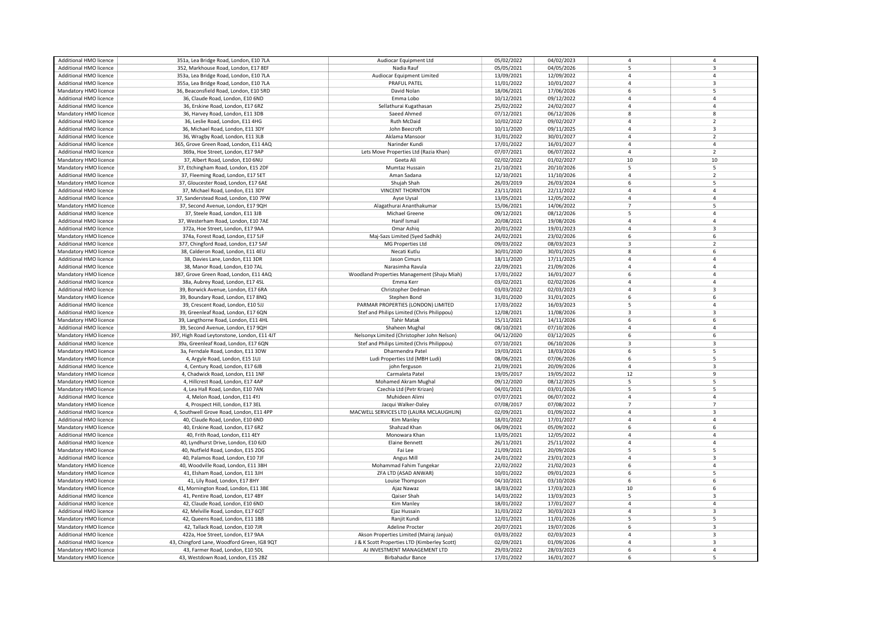| <b>Additional HMO licence</b> | 351a, Lea Bridge Road, London, E10 7LA      | Audiocar Equipment Ltd                       | 05/02/2022 | 04/02/2023 | $\overline{a}$           | $\overline{4}$          |
|-------------------------------|---------------------------------------------|----------------------------------------------|------------|------------|--------------------------|-------------------------|
| Additional HMO licence        | 352, Markhouse Road, London, E17 8EF        | Nadia Rauf                                   | 05/05/2021 | 04/05/2026 | 5                        | $\overline{3}$          |
| <b>Additional HMO licence</b> | 353a, Lea Bridge Road, London, E10 7LA      | Audiocar Equipment Limited                   | 13/09/2021 | 12/09/2022 | $\overline{a}$           | $\overline{4}$          |
| Additional HMO licence        | 355a, Lea Bridge Road, London, E10 7LA      | PRAFUL PATEL                                 | 11/01/2022 | 10/01/2027 | $\overline{4}$           | $\overline{3}$          |
| Mandatory HMO licence         | 36, Beaconsfield Road, London, E10 5RD      | David Nolan                                  | 18/06/2021 | 17/06/2026 | 6                        | 5                       |
| <b>Additional HMO licence</b> | 36, Claude Road, London, E10 6ND            | Emma Lobo                                    | 10/12/2021 | 09/12/2022 | $\overline{4}$           | $\overline{4}$          |
|                               |                                             |                                              |            |            |                          |                         |
| Additional HMO licence        | 36, Erskine Road, London, E17 6RZ           | Sellathurai Kugathasan                       | 25/02/2022 | 24/02/2027 | $\overline{4}$           | $\overline{4}$          |
| Mandatory HMO licence         | 36, Harvey Road, London, E11 3DB            | Saeed Ahmed                                  | 07/12/2021 | 06/12/2026 | 8                        | $\boldsymbol{8}$        |
| Additional HMO licence        | 36, Leslie Road, London, E11 4HG            | Ruth McDaid                                  | 10/02/2022 | 09/02/2027 | $\overline{4}$           | $\overline{2}$          |
| <b>Additional HMO licence</b> | 36, Michael Road, London, E11 3DY           | John Beecroft                                | 10/11/2020 | 09/11/2025 | $\overline{4}$           | $\overline{\mathbf{3}}$ |
| Additional HMO licence        | 36, Wragby Road, London, E11 3LB            | Aklama Mansoor                               | 31/01/2022 | 30/01/2027 | $\overline{4}$           | $\overline{2}$          |
| Additional HMO licence        | 365, Grove Green Road, London, E11 4AQ      | Narinder Kundi                               | 17/01/2022 | 16/01/2027 | $\overline{4}$           | $\overline{4}$          |
| Additional HMO licence        | 369a, Hoe Street, London, E17 9AP           | Lets Move Properties Ltd (Razia Khan)        | 07/07/2021 | 06/07/2022 | $\overline{4}$           | $\overline{2}$          |
| Mandatory HMO licence         | 37, Albert Road, London, E10 6NU            | Geeta Ali                                    | 02/02/2022 | 01/02/2027 | 10                       | 10                      |
| Mandatory HMO licence         | 37, Etchingham Road, London, E15 2DF        | Mumtaz Hussain                               | 21/10/2021 | 20/10/2026 | $\overline{\phantom{a}}$ | 5                       |
| Additional HMO licence        | 37, Fleeming Road, London, E17 5ET          | Aman Sadana                                  | 12/10/2021 | 11/10/2026 | $\overline{4}$           | $\overline{2}$          |
| Mandatory HMO licence         | 37, Gloucester Road, London, E17 6AE        | Shujah Shah                                  | 26/03/2019 | 26/03/2024 | 6                        | 5                       |
| Additional HMO licence        | 37, Michael Road, London, E11 3DY           | <b>VINCENT THORNTON</b>                      | 23/11/2021 | 22/11/2022 | $\overline{4}$           | $\overline{4}$          |
| <b>Additional HMO licence</b> | 37, Sanderstead Road, London, E10 7PW       |                                              | 13/05/2021 | 12/05/2022 | $\Delta$                 | $\overline{4}$          |
|                               |                                             | Ayse Uysal                                   |            |            |                          |                         |
| Mandatory HMO licence         | 37, Second Avenue, London, E17 9QH          | Alagathurai Ananthakumar                     | 15/06/2021 | 14/06/2022 | $\overline{7}$           | 5                       |
| Additional HMO licence        | 37, Steele Road, London, E11 3JB            | Michael Greene                               | 09/12/2021 | 08/12/2026 | 5                        | $\overline{4}$          |
| Additional HMO licence        | 37, Westerham Road, London, E10 7AE         | Hanif Ismail                                 | 20/08/2021 | 19/08/2026 | $\overline{4}$           | $\overline{4}$          |
| <b>Additional HMO licence</b> | 372a, Hoe Street, London, E17 9AA           | Omar Ashiq                                   | 20/01/2022 | 19/01/2023 | $\overline{4}$           | $\overline{\mathbf{3}}$ |
| Mandatory HMO licence         | 374a, Forest Road, London, E17 5JF          | Maj-Sazs Limited (Syed Sadhik)               | 24/02/2021 | 23/02/2026 | 6                        | 6                       |
| Additional HMO licence        | 377, Chingford Road, London, E17 5AF        | MG Properties Ltd                            | 09/03/2022 | 08/03/2023 | $\overline{3}$           | $\overline{2}$          |
| Mandatory HMO licence         | 38, Calderon Road, London, E11 4EU          | Necati Kutlu                                 | 30/01/2020 | 30/01/2025 | $\mathbf{8}$             | 6                       |
| Additional HMO licence        | 38, Davies Lane, London, E11 3DR            | Jason Cimurs                                 | 18/11/2020 | 17/11/2025 | $\overline{4}$           | $\overline{4}$          |
| Additional HMO licence        | 38, Manor Road, London, E10 7AL             | Narasimha Ravula                             | 22/09/2021 | 21/09/2026 | $\Delta$                 | $\overline{4}$          |
| Mandatory HMO licence         | 387, Grove Green Road, London, E11 4AQ      | Woodland Properties Management (Shaju Miah)  | 17/01/2022 | 16/01/2027 | 6                        | $\overline{4}$          |
| <b>Additional HMO licence</b> | 38a, Aubrey Road, London, E17 4SL           | Emma Kerr                                    | 03/02/2021 | 02/02/2026 | $\Delta$                 | $\overline{4}$          |
| Additional HMO licence        | 39, Borwick Avenue, London, E17 6RA         | Christopher Dedman                           | 03/03/2022 | 02/03/2023 | $\overline{4}$           | $\overline{\mathbf{3}}$ |
|                               |                                             |                                              |            |            | 6                        |                         |
| Mandatory HMO licence         | 39, Boundary Road, London, E17 8NQ          | Stephen Bond                                 | 31/01/2020 | 31/01/2025 |                          | 6                       |
| Additional HMO licence        | 39, Crescent Road, London, E10 5JJ          | PARMAR PROPERTIES (LONDON) LIMITED           | 17/03/2022 | 16/03/2023 | 5                        | $\overline{4}$          |
| Additional HMO licence        | 39, Greenleaf Road, London, E17 6QN         | Stef and Philips Limited (Chris Philippou)   | 12/08/2021 | 11/08/2026 | $\overline{3}$           | $\overline{3}$          |
| Mandatory HMO licence         | 39, Langthorne Road, London, E11 4HL        | <b>Tahir Matak</b>                           | 15/11/2021 | 14/11/2026 | 6                        | 6                       |
| Additional HMO licence        | 39, Second Avenue, London, E17 9QH          | Shaheen Mughal                               | 08/10/2021 | 07/10/2026 | $\Delta$                 | $\overline{4}$          |
| Mandatory HMO licence         | 397, High Road Leytonstone, London, E11 4JT | Nelsonyx Limited (Christopher John Nelson)   | 04/12/2020 | 03/12/2025 | 6                        | 6                       |
| Additional HMO licence        | 39a, Greenleaf Road, London, E17 6QN        | Stef and Philips Limited (Chris Philippou)   | 07/10/2021 | 06/10/2026 | $\overline{3}$           | $\overline{\mathbf{3}}$ |
| Mandatory HMO licence         | 3a, Ferndale Road, London, E11 3DW          | Dharmendra Patel                             | 19/03/2021 | 18/03/2026 | 6                        | 5                       |
| Mandatory HMO licence         | 4, Argyle Road, London, E15 1UJ             | Ludi Properties Ltd (MBH Ludi)               | 08/06/2021 | 07/06/2026 | 6                        | 5                       |
| Additional HMO licence        | 4, Century Road, London, E17 6JB            | john ferguson                                | 21/09/2021 | 20/09/2026 | $\overline{4}$           | $\overline{3}$          |
| Mandatory HMO licence         | 4, Chadwick Road, London, E11 1NF           | Carmaleta Patel                              | 19/05/2017 | 19/05/2022 | 12                       | $\mathbf{q}$            |
| Mandatory HMO licence         | 4, Hillcrest Road, London, E17 4AP          | Mohamed Akram Mughal                         | 09/12/2020 | 08/12/2025 | 5                        | 5                       |
| Mandatory HMO licence         | 4, Lea Hall Road, London, E10 7AN           | Czechia Ltd (Petr Krizan)                    | 04/01/2021 | 03/01/2026 | 5                        | 5                       |
|                               |                                             |                                              |            |            | $\overline{4}$           |                         |
| Additional HMO licence        | 4, Melon Road, London, E11 4YJ              | Muhideen Alimi                               | 07/07/2021 | 06/07/2022 |                          | $\overline{4}$          |
| Mandatory HMO licence         | 4, Prospect Hill, London, E17 3EL           | Jacqui Walker-Daley                          | 07/08/2017 | 07/08/2022 | $\overline{7}$           | $\overline{7}$          |
| <b>Additional HMO licence</b> | 4, Southwell Grove Road, London, E11 4PP    | MACWELL SERVICES LTD (LAURA MCLAUGHLIN)      | 02/09/2021 | 01/09/2022 | $\overline{4}$           | $\overline{3}$          |
| Additional HMO licence        | 40, Claude Road, London, E10 6ND            | Kim Manley                                   | 18/01/2022 | 17/01/2027 | $\overline{4}$           | $\overline{4}$          |
| Mandatory HMO licence         | 40, Erskine Road, London, E17 6RZ           | Shahzad Khan                                 | 06/09/2021 | 05/09/2022 | 6                        | 6                       |
| Additional HMO licence        | 40, Frith Road, London, E11 4EY             | Monowara Khan                                | 13/05/2021 | 12/05/2022 | $\Delta$                 | $\overline{4}$          |
| <b>Additional HMO licence</b> | 40, Lyndhurst Drive, London, E10 6JD        | <b>Elaine Bennett</b>                        | 26/11/2021 | 25/11/2022 | $\overline{4}$           | $\overline{4}$          |
| Mandatory HMO licence         | 40, Nutfield Road, London, E15 2DG          | Fai Lee                                      | 21/09/2021 | 20/09/2026 | 5                        | 5                       |
| <b>Additional HMO licence</b> | 40, Palamos Road, London, E10 7JF           | Angus Mill                                   | 24/01/2022 | 23/01/2023 | $\overline{4}$           | $\overline{\mathbf{3}}$ |
| Mandatory HMO licence         | 40, Woodville Road, London, E11 3BH         | Mohammad Fahim Tungekar                      | 22/02/2022 | 21/02/2023 | 6                        | $\overline{4}$          |
| Mandatory HMO licence         | 41, Elsham Road, London, E11 3JH            | ZFA LTD (ASAD ANWAR)                         | 10/01/2022 | 09/01/2023 | 6                        | 5                       |
| Mandatory HMO licence         | 41, Lily Road, London, E17 8HY              | Louise Thompson                              | 04/10/2021 | 03/10/2026 | 6                        | 6                       |
| Mandatory HMO licence         | 41, Mornington Road, London, E11 3BE        | Ajaz Nawaz                                   | 18/03/2022 | 17/03/2023 | 10                       | 6                       |
| Additional HMO licence        | 41, Pentire Road, London, E17 4BY           | Qaiser Shah                                  | 14/03/2022 | 13/03/2023 | 5                        | $\overline{\mathbf{3}}$ |
|                               |                                             |                                              |            |            | $\overline{4}$           | $\overline{4}$          |
| <b>Additional HMO licence</b> | 42, Claude Road, London, E10 6ND            | Kim Manley                                   | 18/01/2022 | 17/01/2027 |                          |                         |
| Additional HMO licence        | 42, Melville Road, London, E17 6QT          | Ejaz Hussain                                 | 31/03/2022 | 30/03/2023 | $\overline{4}$           | $\overline{\mathbf{3}}$ |
| Mandatory HMO licence         | 42, Queens Road, London, E11 1BB            | Ranjit Kundi                                 | 12/01/2021 | 11/01/2026 | $\overline{\phantom{a}}$ | 5                       |
| Mandatory HMO licence         | 42, Tallack Road, London, E10 7JR           | Adeline Procter                              | 20/07/2021 | 19/07/2026 | 6                        | $\overline{\mathbf{3}}$ |
| Additional HMO licence        | 422a, Hoe Street, London, E17 9AA           | Akson Properties Limited (Mairaj Janjua)     | 03/03/2022 | 02/03/2023 | $\overline{4}$           | $\overline{\mathbf{3}}$ |
| <b>Additional HMO licence</b> | 43, Chingford Lane, Woodford Green, IG8 9QT | J & K Scott Properties LTD (Kimberley Scott) | 02/09/2021 | 01/09/2026 | $\overline{4}$           | $\overline{3}$          |
| Mandatory HMO licence         | 43, Farmer Road, London, E10 5DL            | AJ INVESTMENT MANAGEMENT LTD                 | 29/03/2022 | 28/03/2023 | 6                        | $\Delta$                |
| Mandatory HMO licence         | 43, Westdown Road, London, E15 2BZ          | <b>Birbahadur Bance</b>                      | 17/01/2022 | 16/01/2027 | 6                        | 5                       |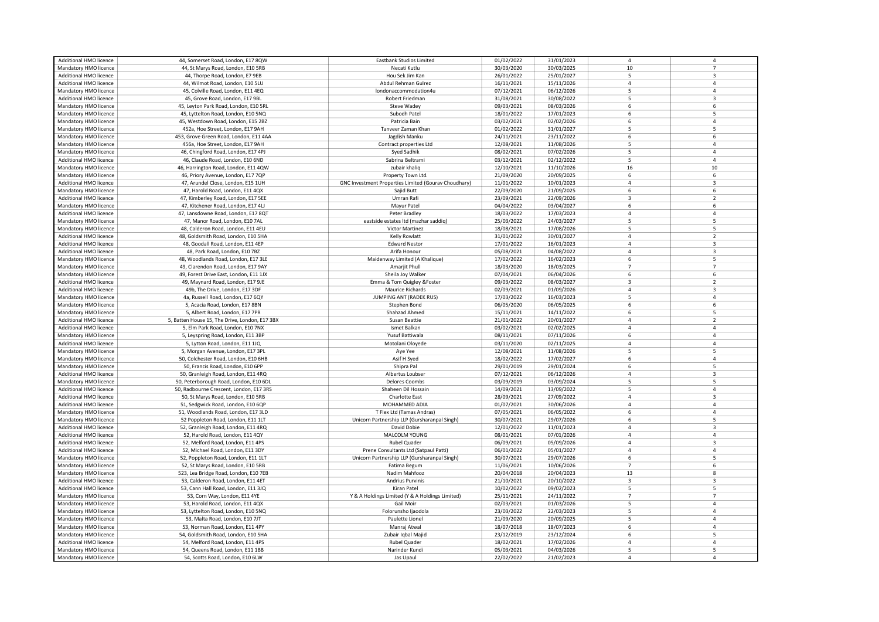| Additional HMO licence                         | 44, Somerset Road, London, E17 8QW             | <b>Eastbank Studios Limited</b>                      | 01/02/2022 | 31/01/2023 | $\overline{4}$          | $\overline{4}$          |
|------------------------------------------------|------------------------------------------------|------------------------------------------------------|------------|------------|-------------------------|-------------------------|
| Mandatory HMO licence                          | 44, St Marys Road, London, E10 5RB             | Necati Kutlu                                         | 30/03/2020 | 30/03/2025 | 10                      | $\overline{7}$          |
| Additional HMO licence                         | 44, Thorpe Road, London, E7 9EB                | Hou Sek Jim Kan                                      | 26/01/2022 | 25/01/2027 | 5                       | $\overline{\mathbf{3}}$ |
| <b>Additional HMO licence</b>                  | 44, Wilmot Road, London, E10 5LU               | Abdul Rehman Gulrez                                  | 16/11/2021 | 15/11/2026 | $\overline{a}$          | $\overline{4}$          |
| Mandatory HMO licence                          | 45, Colville Road, London, E11 4EQ             | londonaccommodation4u                                | 07/12/2021 | 06/12/2026 | 5                       | $\overline{4}$          |
| Additional HMO licence                         | 45, Grove Road, London, E17 9BL                | Robert Friedman                                      | 31/08/2021 | 30/08/2022 | 5                       | $\overline{\mathbf{3}}$ |
| Mandatory HMO licence                          | 45, Leyton Park Road, London, E10 5RL          | Steve Wadey                                          | 09/03/2021 | 08/03/2026 | 6                       | 6                       |
| Mandatory HMO licence                          | 45, Lyttelton Road, London, E10 5NQ            | Subodh Patel                                         | 18/01/2022 | 17/01/2023 | 6                       | 5                       |
|                                                |                                                |                                                      |            |            |                         |                         |
| Mandatory HMO licence                          | 45, Westdown Road, London, E15 2BZ             | Patricia Bain                                        | 03/02/2021 | 02/02/2026 | 6                       | $\overline{4}$          |
| Mandatory HMO licence                          | 452a, Hoe Street, London, E17 9AH              | Tanveer Zaman Khan                                   | 01/02/2022 | 31/01/2027 | 5                       | 5                       |
| Mandatory HMO licence                          | 453, Grove Green Road, London, E11 4AA         | Jagdish Manku                                        | 24/11/2021 | 23/11/2022 | 6                       | 6                       |
| Mandatory HMO licence                          | 456a, Hoe Street, London, E17 9AH              | Contract properties Ltd                              | 12/08/2021 | 11/08/2026 | 5                       | $\overline{4}$          |
| Mandatory HMO licence                          | 46, Chingford Road, London, E17 4PJ            | Syed Sadhik                                          | 08/02/2021 | 07/02/2026 | 5                       | $\overline{4}$          |
| Additional HMO licence                         | 46, Claude Road, London, E10 6ND               | Sabrina Beltrami                                     | 03/12/2021 | 02/12/2022 | 5                       | $\overline{4}$          |
| Mandatory HMO licence                          | 46, Harrington Road, London, E11 4QW           | zubair khalig                                        | 12/10/2021 | 11/10/2026 | 16                      | 10                      |
| Mandatory HMO licence                          | 46, Priory Avenue, London, E17 7QP             | Property Town Ltd.                                   | 21/09/2020 | 20/09/2025 | 6                       | 6                       |
| <b>Additional HMO licence</b>                  | 47, Arundel Close, London, E15 1UH             | GNC Investment Properties Limited (Gourav Choudhary) | 11/01/2022 | 10/01/2023 | $\overline{4}$          | $\overline{\mathbf{3}}$ |
| Mandatory HMO licence                          | 47, Harold Road, London, E11 4QX               | Sajid Butt                                           | 22/09/2020 | 21/09/2025 | 6                       | 6                       |
| Additional HMO licence                         | 47, Kimberley Road, London, E17 5EE            | Umran Rafi                                           | 23/09/2021 | 22/09/2026 | $\overline{3}$          | $\overline{2}$          |
| Mandatory HMO licence                          | 47, Kitchener Road, London, E17 4LJ            | Mayur Patel                                          | 04/04/2022 | 03/04/2027 | 6                       | 6                       |
| Additional HMO licence                         | 47, Lansdowne Road, London, E17 8QT            | Peter Bradley                                        | 18/03/2022 | 17/03/2023 | $\overline{4}$          | $\overline{4}$          |
| Mandatory HMO licence                          | 47, Manor Road, London, E10 7AL                | eastside estates ltd (mazhar saddiq)                 | 25/03/2022 | 24/03/2027 | 5                       | 5                       |
| Mandatory HMO licence                          | 48, Calderon Road, London, E11 4EU             | Victor Martinez                                      | 18/08/2021 | 17/08/2026 | 5                       | 5                       |
| Additional HMO licence                         | 48, Goldsmith Road, London, E10 5HA            | Kelly Rowlatt                                        | 31/01/2022 | 30/01/2027 | $\overline{a}$          | $\overline{2}$          |
| <b>Additional HMO licence</b>                  | 48, Goodall Road, London, E11 4EP              | <b>Edward Nestor</b>                                 | 17/01/2022 | 16/01/2023 | $\overline{a}$          | $\overline{3}$          |
| Additional HMO licence                         | 48, Park Road, London, E10 7BZ                 | Arifa Honour                                         | 05/08/2021 | 04/08/2022 | $\overline{a}$          | $\overline{\mathbf{3}}$ |
| Mandatory HMO licence                          | 48, Woodlands Road, London, E17 3LE            | Maidenway Limited (A Khalique)                       |            | 16/02/2023 | 6                       | 5                       |
|                                                |                                                |                                                      | 17/02/2022 |            | $\overline{7}$          | $\overline{7}$          |
| Mandatory HMO licence                          | 49, Clarendon Road, London, E17 9AY            | Amarjit Phull                                        | 18/03/2020 | 18/03/2025 |                         |                         |
| Mandatory HMO licence                          | 49, Forest Drive East, London, E11 1JX         | Sheila Joy Walker                                    | 07/04/2021 | 06/04/2026 | 6                       | 6                       |
| Additional HMO licence                         | 49, Maynard Road, London, E17 9JE              | Emma & Tom Quigley & Foster                          | 09/03/2022 | 08/03/2027 | $\overline{\mathbf{3}}$ | $\overline{2}$          |
| <b>Additional HMO licence</b>                  | 49b, The Drive, London, E17 3DF                | Maurice Richards                                     | 02/09/2021 | 01/09/2026 | $\overline{a}$          | $\overline{\mathbf{3}}$ |
| Mandatory HMO licence                          | 4a, Russell Road, London, E17 6QY              | JUMPING ANT (RADEK RUS)                              | 17/03/2022 | 16/03/2023 | 5                       | $\overline{4}$          |
| Mandatory HMO licence                          | 5, Acacia Road, London, E17 8BN                | Stephen Bond                                         | 06/05/2020 | 06/05/2025 | 6                       | 6                       |
| Mandatory HMO licence                          | 5, Albert Road, London, E17 7PR                | Shahzad Ahmed                                        | 15/11/2021 | 14/11/2022 | 6                       | 5                       |
| Additional HMO licence                         | 5, Batten House 15, The Drive, London, E17 3BX | Susan Beattie                                        | 21/01/2022 | 20/01/2027 | $\overline{a}$          | $\overline{2}$          |
| <b>Additional HMO licence</b>                  | 5, Elm Park Road, London, E10 7NX              | Ismet Balkan                                         | 03/02/2021 | 02/02/2025 | $\overline{a}$          | $\overline{4}$          |
| Mandatory HMO licence                          | 5, Leyspring Road, London, E11 3BP             | Yusuf Battiwala                                      | 08/11/2021 | 07/11/2026 | 6                       | $\overline{4}$          |
| Additional HMO licence                         | 5, Lytton Road, London, E11 1JQ                | Motolani Oloyede                                     | 03/11/2020 | 02/11/2025 | $\overline{4}$          | $\overline{4}$          |
| Mandatory HMO licence                          | 5, Morgan Avenue, London, E17 3PL              | Aye Yee                                              | 12/08/2021 | 11/08/2026 | 5                       | 5                       |
| Mandatory HMO licence                          | 50, Colchester Road, London, E10 6HB           | Asif H Syed                                          | 18/02/2022 | 17/02/2027 | 6                       | $\overline{4}$          |
| Mandatory HMO licence                          | 50, Francis Road, London, E10 6PP              | Shipra Pal                                           | 29/01/2019 | 29/01/2024 | 6                       | 5                       |
| Additional HMO licence                         | 50, Granleigh Road, London, E11 4RQ            | Albertus Loubser                                     | 07/12/2021 | 06/12/2026 | $\overline{4}$          | $\overline{\mathbf{3}}$ |
| Mandatory HMO licence                          | 50, Peterborough Road, London, E10 6DL         | <b>Delores Coombs</b>                                | 03/09/2019 | 03/09/2024 | 5                       | 5                       |
| Additional HMO licence                         | 50, Radbourne Crescent, London, E17 3RS        | Shaheen Dil Hossain                                  | 14/09/2021 | 13/09/2022 | 5                       | $\overline{4}$          |
| Additional HMO licence                         | 50, St Marys Road, London, E10 5RB             | Charlotte East                                       | 28/09/2021 | 27/09/2022 | $\overline{a}$          | $\overline{\mathbf{3}}$ |
| Additional HMO licence                         | 51, Sedgwick Road, London, E10 6QP             | MOHAMMED ADIA                                        | 01/07/2021 | 30/06/2026 | $\overline{a}$          | $\overline{4}$          |
|                                                |                                                |                                                      |            |            | 6                       | $\overline{4}$          |
| Mandatory HMO licence<br>Mandatory HMO licence | 51, Woodlands Road, London, E17 3LD            | T Flex Ltd (Tamas Andras)                            | 07/05/2021 | 06/05/2022 | 6                       | 5                       |
|                                                | 52 Poppleton Road, London, E11 1LT             | Unicorn Partnership LLP (Gursharanpal Singh)         | 30/07/2021 | 29/07/2026 |                         |                         |
| Additional HMO licence                         | 52, Granleigh Road, London, E11 4RQ            | David Dobie                                          | 12/01/2022 | 11/01/2023 | $\overline{a}$          | $\overline{\mathbf{3}}$ |
| <b>Additional HMO licence</b>                  | 52, Harold Road, London, E11 4QY               | MALCOLM YOUNG                                        | 08/01/2021 | 07/01/2026 | $\overline{a}$          | $\overline{4}$          |
| Additional HMO licence                         | 52, Melford Road, London, E11 4PS              | Rubel Quader                                         | 06/09/2021 | 05/09/2026 | $\overline{4}$          | $\overline{\mathbf{3}}$ |
| Additional HMO licence                         | 52, Michael Road, London, E11 3DY              | Prene Consultants Ltd (Satpaul Patti)                | 06/01/2022 | 05/01/2027 | $\overline{a}$          | $\overline{4}$          |
| Mandatory HMO licence                          | 52, Poppleton Road, London, E11 1LT            | Unicorn Partnership LLP (Gursharanpal Singh)         | 30/07/2021 | 29/07/2026 | 6                       | 5                       |
| Mandatory HMO licence                          | 52, St Marys Road, London, E10 5RB             | Fatima Begum                                         | 11/06/2021 | 10/06/2026 | $\overline{7}$          | 6                       |
| Mandatory HMO licence                          | 523, Lea Bridge Road, London, E10 7EB          | Nadim Mahfooz                                        | 20/04/2018 | 20/04/2023 | 13                      | 8                       |
| Additional HMO licence                         | 53, Calderon Road, London, E11 4ET             | <b>Andrius Purvinis</b>                              | 21/10/2021 | 20/10/2022 | $\overline{\mathbf{3}}$ | $\overline{\mathbf{3}}$ |
| Additional HMO licence                         | 53, Cann Hall Road, London, E11 3JQ            | Kiran Patel                                          | 10/02/2022 | 09/02/2023 | 5                       | 5                       |
| Mandatory HMO licence                          | 53, Corn Way, London, E11 4YE                  | Y & A Holdings Limited (Y & A Holdings Limited)      | 25/11/2021 | 24/11/2022 | $\overline{7}$          | $\overline{7}$          |
| Mandatory HMO licence                          | 53, Harold Road, London, E11 4QX               | Gail Moir                                            | 02/03/2021 | 01/03/2026 | 5                       | $\overline{4}$          |
| Mandatory HMO licence                          | 53, Lyttelton Road, London, E10 5NQ            | Folorunsho Ijaodola                                  | 23/03/2022 | 22/03/2023 | 5                       | $\overline{4}$          |
| Mandatory HMO licence                          | 53, Malta Road, London, E10 7JT                | Paulette Lionel                                      | 21/09/2020 | 20/09/2025 | 5                       | $\overline{4}$          |
| Mandatory HMO licence                          | 53, Norman Road, London, E11 4PY               | Manraj Atwal                                         | 18/07/2018 | 18/07/2023 | 6                       | $\overline{4}$          |
| Mandatory HMO licence                          | 54, Goldsmith Road, London, E10 5HA            | Zubair Iqbal Majid                                   | 23/12/2019 | 23/12/2024 | 6                       | 5                       |
| <b>Additional HMO licence</b>                  | 54, Melford Road, London, E11 4PS              | <b>Rubel Quader</b>                                  | 18/02/2021 | 17/02/2026 | $\Delta$                | $\overline{4}$          |
| Mandatory HMO licence                          | 54, Queens Road, London, E11 1BB               | Narinder Kundi                                       | 05/03/2021 | 04/03/2026 | 5                       | 5                       |
| Mandatory HMO licence                          | 54, Scotts Road, London, E10 6LW               | Jas Upaul                                            | 22/02/2022 | 21/02/2023 | $\Delta$                | $\Delta$                |
|                                                |                                                |                                                      |            |            |                         |                         |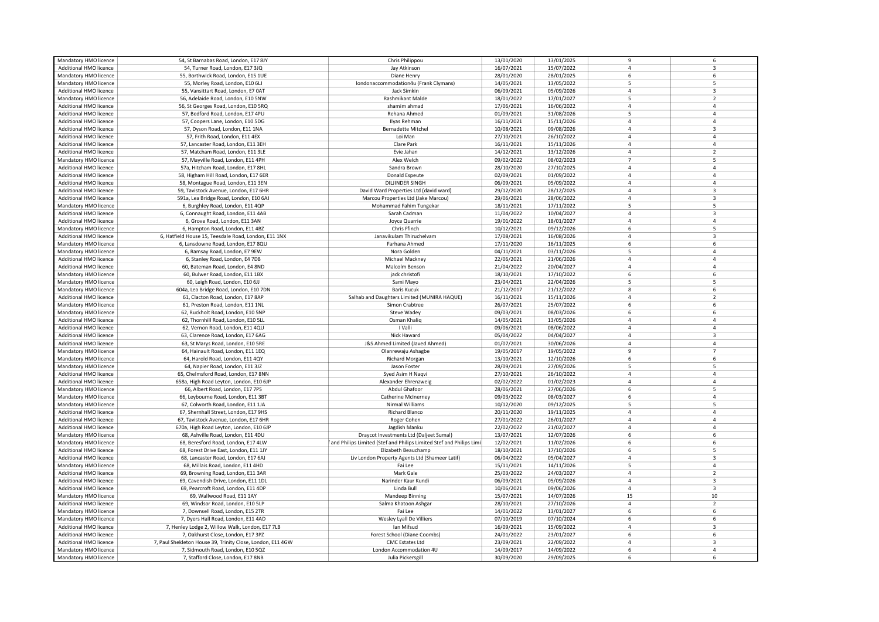| Mandatory HMO licence         | 54, St Barnabas Road, London, E17 8JY                      | Chris Philippou                                                      | 13/01/2020 | 13/01/2025 | 9              | 6                       |
|-------------------------------|------------------------------------------------------------|----------------------------------------------------------------------|------------|------------|----------------|-------------------------|
| Additional HMO licence        | 54, Turner Road, London, E17 3JQ                           | Jay Atkinson                                                         | 16/07/2021 | 15/07/2022 | $\overline{4}$ | $\overline{3}$          |
| Mandatory HMO licence         | 55, Borthwick Road, London, E15 1UE                        | Diane Henry                                                          | 28/01/2020 | 28/01/2025 | 6              | 6                       |
| Mandatory HMO licence         | 55, Morley Road, London, E10 6LJ                           | Iondonaccommodation4u (Frank Clymans)                                | 14/05/2021 | 13/05/2022 | 5              | 5                       |
|                               |                                                            |                                                                      |            |            |                |                         |
| Additional HMO licence        | 55, Vansittart Road, London, E7 0AT                        | Jack Simkin                                                          | 06/09/2021 | 05/09/2026 | $\overline{4}$ | $\overline{\mathbf{3}}$ |
| Mandatory HMO licence         | 56, Adelaide Road, London, E10 5NW                         | Rashmikant Malde                                                     | 18/01/2022 | 17/01/2027 | 5              | $\overline{2}$          |
| Additional HMO licence        | 56, St Georges Road, London, E10 5RQ                       | shamim ahmad                                                         | 17/06/2021 | 16/06/2022 | $\overline{4}$ | $\overline{4}$          |
| <b>Additional HMO licence</b> | 57, Bedford Road, London, E17 4PU                          | Rehana Ahmed                                                         | 01/09/2021 | 31/08/2026 | 5              | $\overline{4}$          |
| Additional HMO licence        | 57, Coopers Lane, London, E10 5DG                          | Ilyas Rehman                                                         | 16/11/2021 | 15/11/2026 | $\overline{4}$ | $\overline{4}$          |
| <b>Additional HMO licence</b> | 57, Dyson Road, London, E11 1NA                            | <b>Bernadette Mitchel</b>                                            | 10/08/2021 | 09/08/2026 | $\overline{a}$ | $\overline{\mathbf{3}}$ |
| Additional HMO licence        |                                                            | Loi Man                                                              | 27/10/2021 | 26/10/2022 | $\Delta$       | $\overline{4}$          |
|                               | 57, Frith Road, London, E11 4EX                            |                                                                      |            |            | $\overline{4}$ | $\overline{4}$          |
| <b>Additional HMO licence</b> | 57, Lancaster Road, London, E11 3EH                        | Clare Park                                                           | 16/11/2021 | 15/11/2026 |                |                         |
| Additional HMO licence        | 57, Matcham Road, London, E11 3LE                          | Evie Jahan                                                           | 14/12/2021 | 13/12/2026 | $\Delta$       | $\overline{2}$          |
| Mandatory HMO licence         | 57, Mayville Road, London, E11 4PH                         | Alex Welch                                                           | 09/02/2022 | 08/02/2023 | $\overline{7}$ | 5                       |
| Additional HMO licence        | 57a, Hitcham Road, London, E17 8HL                         | Sandra Brown                                                         | 28/10/2020 | 27/10/2025 | $\overline{4}$ | $\overline{4}$          |
| Additional HMO licence        | 58, Higham Hill Road, London, E17 6ER                      | Donald Espeute                                                       | 02/09/2021 | 01/09/2022 | $\overline{4}$ | $\overline{4}$          |
| <b>Additional HMO licence</b> | 58, Montague Road, London, E11 3EN                         | DILJINDER SINGH                                                      | 06/09/2021 | 05/09/2022 | $\overline{a}$ | $\overline{4}$          |
| Additional HMO licence        | 59, Tavistock Avenue, London, E17 6HR                      | David Ward Properties Ltd (david ward)                               | 29/12/2020 | 28/12/2025 | $\Delta$       | $\overline{\mathbf{3}}$ |
|                               |                                                            |                                                                      |            |            | $\overline{4}$ | $\overline{\mathbf{3}}$ |
| Additional HMO licence        | 591a, Lea Bridge Road, London, E10 6AJ                     | Marcou Properties Ltd (Jake Marcou)                                  | 29/06/2021 | 28/06/2022 |                |                         |
| Mandatory HMO licence         | 6, Burghley Road, London, E11 4QP                          | Mohammad Fahim Tungekar                                              | 18/11/2021 | 17/11/2022 | 5              | 5                       |
| Additional HMO licence        | 6, Connaught Road, London, E11 4AB                         | Sarah Cadman                                                         | 11/04/2022 | 10/04/2027 | $\overline{4}$ | $\overline{\mathbf{3}}$ |
| <b>Additional HMO licence</b> | 6, Grove Road, London, E11 3AN                             | Joyce Quarrie                                                        | 19/01/2022 | 18/01/2027 | $\Delta$       | $\overline{4}$          |
| Mandatory HMO licence         | 6, Hampton Road, London, E11 4BZ                           | Chris Ffinch                                                         | 10/12/2021 | 09/12/2026 | 6              | 5                       |
| Additional HMO licence        | 6, Hatfield House 15, Teesdale Road, London, E11 1NX       | Janavikulam Thiruchelvam                                             | 17/08/2021 | 16/08/2026 | $\Delta$       | $\overline{3}$          |
| Mandatory HMO licence         | 6, Lansdowne Road, London, E17 8QU                         | Farhana Ahmed                                                        | 17/11/2020 | 16/11/2025 | 6              | 6                       |
|                               |                                                            |                                                                      |            |            | 5              | $\overline{4}$          |
| Mandatory HMO licence         | 6, Ramsay Road, London, E7 9EW                             | Nora Golden                                                          | 04/11/2021 | 03/11/2026 |                |                         |
| Additional HMO licence        | 6, Stanley Road, London, E4 7DB                            | Michael Mackney                                                      | 22/06/2021 | 21/06/2026 | $\overline{4}$ | $\overline{4}$          |
| Additional HMO licence        | 60, Bateman Road, London, E4 8ND                           | Malcolm Benson                                                       | 21/04/2022 | 20/04/2027 | $\Delta$       | $\overline{4}$          |
| Mandatory HMO licence         | 60, Bulwer Road, London, E11 1BX                           | jack christofi                                                       | 18/10/2021 | 17/10/2022 | 6              | 6                       |
| Mandatory HMO licence         | 60, Leigh Road, London, E10 6JJ                            | Sami Mayo                                                            | 23/04/2021 | 22/04/2026 | 5              | 5                       |
| Mandatory HMO licence         | 604a, Lea Bridge Road, London, E10 7DN                     | <b>Baris Kucuk</b>                                                   | 21/12/2017 | 21/12/2022 | 8              | 6                       |
| Additional HMO licence        | 61, Clacton Road, London, E17 8AP                          | Salhab and Daughters Limited (MUNIRA HAQUE)                          | 16/11/2021 | 15/11/2026 | $\overline{a}$ | $\overline{2}$          |
| Mandatory HMO licence         | 61, Preston Road, London, E11 1NL                          | Simon Crabtree                                                       |            |            | 6              | 6                       |
|                               |                                                            |                                                                      | 26/07/2021 | 25/07/2022 |                |                         |
| Mandatory HMO licence         | 62, Ruckholt Road, London, E10 5NP                         | Steve Wadey                                                          | 09/03/2021 | 08/03/2026 | 6              | 6                       |
| <b>Additional HMO licence</b> | 62, Thornhill Road, London, E10 5LL                        | Osman Khalig                                                         | 14/05/2021 | 13/05/2026 | $\overline{4}$ | $\overline{4}$          |
| Additional HMO licence        | 62, Vernon Road, London, E11 4QU                           | I Valli                                                              | 09/06/2021 | 08/06/2022 | $\overline{4}$ | $\overline{4}$          |
| Additional HMO licence        | 63, Clarence Road, London, E17 6AG                         | Nick Haward                                                          | 05/04/2022 | 04/04/2027 | $\overline{4}$ | $\overline{\mathbf{3}}$ |
| Additional HMO licence        | 63, St Marys Road, London, E10 5RE                         | J&S Ahmed Limited (Javed Ahmed)                                      | 01/07/2021 | 30/06/2026 | $\Delta$       | $\overline{4}$          |
| Mandatory HMO licence         | 64, Hainault Road, London, E11 1EQ                         | Olanrewaju Ashagbe                                                   | 19/05/2017 | 19/05/2022 | $\overline{9}$ | $\overline{7}$          |
|                               |                                                            |                                                                      |            |            | 6              |                         |
| Mandatory HMO licence         | 64, Harold Road, London, E11 4QY                           | Richard Morgan                                                       | 13/10/2021 | 12/10/2026 |                | $\,6\,$                 |
| Mandatory HMO licence         | 64, Napier Road, London, E11 3JZ                           | Jason Foster                                                         | 28/09/2021 | 27/09/2026 | 5              | 5                       |
| <b>Additional HMO licence</b> | 65, Chelmsford Road, London, E17 8NN                       | Syed Asim H Nagvi                                                    | 27/10/2021 | 26/10/2022 | $\overline{4}$ | $\overline{4}$          |
| Additional HMO licence        | 658a, High Road Leyton, London, E10 6JP                    | Alexander Ehrenzweig                                                 | 02/02/2022 | 01/02/2023 | $\overline{4}$ | $\overline{4}$          |
| Mandatory HMO licence         | 66, Albert Road, London, E17 7PS                           | Abdul Ghafoor                                                        | 28/06/2021 | 27/06/2026 | 6              | 5                       |
| Mandatory HMO licence         | 66, Leybourne Road, London, E11 3BT                        | Catherine McInerney                                                  | 09/03/2022 | 08/03/2027 | 6              | $\overline{4}$          |
| Mandatory HMO licence         | 67, Colworth Road, London, E11 1JA                         | Nirmal Williams                                                      | 10/12/2020 | 09/12/2025 | 5              | 5                       |
| Additional HMO licence        |                                                            |                                                                      |            |            | $\overline{4}$ | $\overline{4}$          |
|                               | 67, Shernhall Street, London, E17 9HS                      | Richard Blanco                                                       | 20/11/2020 | 19/11/2025 |                |                         |
| Additional HMO licence        | 67, Tavistock Avenue, London, E17 6HR                      | Roger Cohen                                                          | 27/01/2022 | 26/01/2027 | $\overline{4}$ | $\overline{4}$          |
| Additional HMO licence        | 670a, High Road Leyton, London, E10 6JP                    | Jagdish Manku                                                        | 22/02/2022 | 21/02/2027 | $\Delta$       | $\overline{4}$          |
| Mandatory HMO licence         | 68, Ashville Road, London, E11 4DU                         | Draycot Investments Ltd (Daljeet Sumal)                              | 13/07/2021 | 12/07/2026 | 6              | 6                       |
| Mandatory HMO licence         | 68, Beresford Road, London, E17 4LW                        | and Philips Limited (Stef and Philips Limited Stef and Philips Limit | 12/02/2021 | 11/02/2026 | 6              | 6                       |
| Additional HMO licence        | 68, Forest Drive East, London, E11 1JY                     | Elizabeth Beauchamp                                                  | 18/10/2021 | 17/10/2026 | 6              | 5                       |
| Additional HMO licence        | 68, Lancaster Road, London, E17 6AJ                        | Liv London Property Agents Ltd (Shameer Latif)                       | 06/04/2022 | 05/04/2027 | $\Delta$       | $\overline{\mathbf{3}}$ |
| Mandatory HMO licence         | 68, Millais Road, London, E11 4HD                          | Fai Lee                                                              | 15/11/2021 | 14/11/2026 | 5              | $\overline{4}$          |
| Additional HMO licence        |                                                            | Mark Gale                                                            |            |            | $\overline{a}$ | $\overline{z}$          |
|                               | 69, Browning Road, London, E11 3AR                         |                                                                      | 25/03/2022 | 24/03/2027 |                |                         |
| Additional HMO licence        | 69, Cavendish Drive, London, E11 1DL                       | Narinder Kaur Kundi                                                  | 06/09/2021 | 05/09/2026 | $\overline{4}$ | $\overline{3}$          |
| Additional HMO licence        | 69, Pearcroft Road, London, E11 4DP                        | Linda Bull                                                           | 10/06/2021 | 09/06/2026 | $\Delta$       | $\overline{\mathbf{3}}$ |
| Mandatory HMO licence         | 69, Wallwood Road, E11 1AY                                 | <b>Mandeep Binning</b>                                               | 15/07/2021 | 14/07/2026 | 15             | 10                      |
| Additional HMO licence        | 69, Windsor Road, London, E10 5LP                          | Salma Khatoon Ashgar                                                 | 28/10/2021 | 27/10/2026 | $\overline{a}$ | $\overline{2}$          |
| Mandatory HMO licence         | 7, Downsell Road, London, E15 2TR                          | Fai Lee                                                              | 14/01/2022 | 13/01/2027 | 6              | 6                       |
| Mandatory HMO licence         | 7, Dyers Hall Road, London, E11 4AD                        | Wesley Lyall De Villiers                                             | 07/10/2019 | 07/10/2024 | 6              | 6                       |
| <b>Additional HMO licence</b> | 7, Henley Lodge 2, Willow Walk, London, E17 7LB            | Ian Mifsud                                                           | 16/09/2021 | 15/09/2022 | $\overline{4}$ | $\overline{\mathbf{3}}$ |
|                               |                                                            |                                                                      |            |            | 6              |                         |
| Additional HMO licence        | 7, Oakhurst Close, London, E17 3PZ                         | Forest School (Diane Coombs)                                         | 24/01/2022 | 23/01/2027 |                | 6                       |
| <b>Additional HMO licence</b> | 7, Paul Shekleton House 39, Trinity Close, London, E11 4GW | <b>CMC</b> Estates Ltd                                               | 23/09/2021 | 22/09/2022 | $\overline{a}$ | $\overline{3}$          |
| Mandatory HMO licence         | 7, Sidmouth Road, London, E10 5QZ                          | London Accommodation 4U                                              | 14/09/2017 | 14/09/2022 | 6              | $\Delta$                |
| Mandatory HMO licence         | 7, Stafford Close, London, E17 8NB                         | Julia Pickersgill                                                    | 30/09/2020 | 29/09/2025 | 6              | 6                       |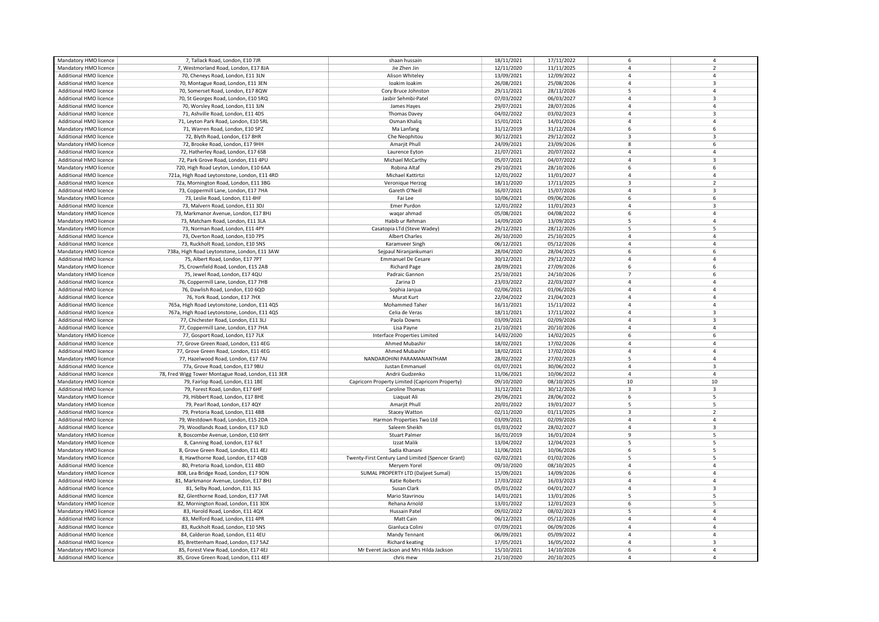| Mandatory HMO licence         | 7, Tallack Road, London, E10 7JR                   | shaan hussain                                     | 18/11/2021 | 17/11/2022 | 6                       | $\overline{4}$           |
|-------------------------------|----------------------------------------------------|---------------------------------------------------|------------|------------|-------------------------|--------------------------|
| Mandatory HMO licence         | 7, Westmorland Road, London, E17 8JA               | Jie Zhen Jin                                      | 12/11/2020 | 11/11/2025 | $\overline{4}$          | $\overline{\phantom{0}}$ |
| Additional HMO licence        | 70, Cheneys Road, London, E11 3LN                  | Alison Whiteley                                   | 13/09/2021 | 12/09/2022 | $\overline{4}$          | $\overline{4}$           |
| Additional HMO licence        | 70, Montague Road, London, E11 3EN                 | Ioakim Ioakim                                     | 26/08/2021 | 25/08/2026 | $\overline{4}$          | $\overline{3}$           |
| Additional HMO licence        | 70, Somerset Road, London, E17 8QW                 | Cory Bruce Johnston                               | 29/11/2021 | 28/11/2026 | 5                       | $\overline{4}$           |
| <b>Additional HMO licence</b> | 70, St Georges Road, London, E10 5RQ               | Jasbir Sehmbi-Patel                               | 07/03/2022 | 06/03/2027 | $\overline{a}$          | $\overline{3}$           |
| Additional HMO licence        | 70, Worsley Road, London, E11 3JN                  |                                                   | 29/07/2021 | 28/07/2026 | $\overline{4}$          | $\overline{4}$           |
| Additional HMO licence        | 71, Ashville Road, London, E11 4DS                 | James Hayes<br><b>Thomas Davey</b>                | 04/02/2022 | 03/02/2023 | $\overline{4}$          | $\overline{\mathbf{3}}$  |
|                               |                                                    |                                                   |            |            |                         |                          |
| Additional HMO licence        | 71, Leyton Park Road, London, E10 5RL              | Osman Khaliq                                      | 15/01/2021 | 14/01/2026 | $\overline{4}$          | $\overline{4}$           |
| Mandatory HMO licence         | 71, Warren Road, London, E10 5PZ                   | Ma Lanfang                                        | 31/12/2019 | 31/12/2024 | 6                       | 6                        |
| Additional HMO licence        | 72, Blyth Road, London, E17 8HR                    | Che Neophitou                                     | 30/12/2021 | 29/12/2022 | $\overline{\mathbf{3}}$ | $\overline{\mathbf{3}}$  |
| Mandatory HMO licence         | 72, Brooke Road, London, E17 9HH                   | Amarjit Phull                                     | 24/09/2021 | 23/09/2026 | $\mathbf{g}$            | 6                        |
| Additional HMO licence        | 72, Hatherley Road, London, E17 6SB                | Laurence Eyton                                    | 21/07/2021 | 20/07/2022 | $\Delta$                | $\overline{4}$           |
| Additional HMO licence        | 72, Park Grove Road, London, E11 4PU               | Michael McCarthy                                  | 05/07/2021 | 04/07/2022 | $\overline{4}$          | $\overline{\mathbf{3}}$  |
| Mandatory HMO licence         | 720, High Road Leyton, London, E10 6AA             | Robina Altaf                                      | 29/10/2021 | 28/10/2026 | 6                       | 6                        |
| Additional HMO licence        | 721a, High Road Leytonstone, London, E11 4RD       | Michael Kattirtzi                                 | 12/01/2022 | 11/01/2027 | $\overline{4}$          | $\overline{4}$           |
| Additional HMO licence        | 72a, Mornington Road, London, E11 3BG              | Veronique Herzog                                  | 18/11/2020 | 17/11/2025 | $\overline{\mathbf{3}}$ | $\overline{2}$           |
| <b>Additional HMO licence</b> | 73, Coppermill Lane, London, E17 7HA               | Gareth O'Neill                                    | 16/07/2021 | 15/07/2026 | $\overline{4}$          | $\overline{\mathbf{3}}$  |
| Mandatory HMO licence         | 73, Leslie Road, London, E11 4HF                   | Fai Lee                                           | 10/06/2021 | 09/06/2026 | 6                       | 6                        |
| Additional HMO licence        | 73, Malvern Road, London, E11 3DJ                  | Emer Purdon                                       | 12/01/2022 | 11/01/2023 | $\overline{4}$          | $\overline{\mathbf{3}}$  |
| Mandatory HMO licence         | 73, Markmanor Avenue, London, E17 8HJ              | wagar ahmad                                       | 05/08/2021 | 04/08/2022 | 6                       | $\overline{4}$           |
| Mandatory HMO licence         | 73, Matcham Road, London, E11 3LA                  | Habib ur Rehman                                   | 14/09/2020 | 13/09/2025 | 5                       | $\overline{4}$           |
| Mandatory HMO licence         | 73, Norman Road, London, E11 4PY                   | Casatopia LTd (Steve Wadey)                       | 29/12/2021 | 28/12/2026 | 5                       | 5                        |
|                               |                                                    |                                                   |            |            | $\overline{4}$          | $\overline{4}$           |
| Additional HMO licence        | 73, Overton Road, London, E10 7PS                  | Albert Charles                                    | 26/10/2020 | 25/10/2025 | $\overline{4}$          | $\overline{4}$           |
| Additional HMO licence        | 73, Ruckholt Road, London, E10 5NS                 | Karamveer Singh                                   | 06/12/2021 | 05/12/2026 |                         |                          |
| Mandatory HMO licence         | 738a, High Road Leytonstone, London, E11 3AW       | Sejpaul Niranjankumari                            | 28/04/2020 | 28/04/2025 | 6                       | 6                        |
| Additional HMO licence        | 75, Albert Road, London, E17 7PT                   | <b>Emmanuel De Cesare</b>                         | 30/12/2021 | 29/12/2022 | $\overline{4}$          | $\overline{4}$           |
| Mandatory HMO licence         | 75, Crownfield Road, London, E15 2AB               | <b>Richard Page</b>                               | 28/09/2021 | 27/09/2026 | 6                       | 6                        |
| Mandatory HMO licence         | 75, Jewel Road, London, E17 4QU                    | Padraic Gannon                                    | 25/10/2021 | 24/10/2026 | $\overline{7}$          | 6                        |
| Additional HMO licence        | 76, Coppermill Lane, London, E17 7HB               | Zarina D                                          | 23/03/2022 | 22/03/2027 | $\Delta$                | $\overline{a}$           |
| Additional HMO licence        | 76, Dawlish Road, London, E10 6QD                  | Sophia Janjua                                     | 02/06/2021 | 01/06/2026 | $\overline{4}$          | $\overline{4}$           |
| Additional HMO licence        | 76, York Road, London, E17 7HX                     | Murat Kurt                                        | 22/04/2022 | 21/04/2023 | $\Delta$                | $\overline{a}$           |
| <b>Additional HMO licence</b> | 765a, High Road Leytonstone, London, E11 4QS       | Mohammed Taher                                    | 16/11/2021 | 15/11/2022 | $\overline{4}$          | $\overline{4}$           |
| Additional HMO licence        | 767a, High Road Leytonstone, London, E11 4QS       | Celia de Veras                                    | 18/11/2021 | 17/11/2022 | $\Delta$                | $\overline{3}$           |
| Additional HMO licence        | 77, Chichester Road, London, E11 3LJ               | Paola Downs                                       | 03/09/2021 | 02/09/2026 | $\overline{4}$          | $\overline{\mathbf{3}}$  |
| Additional HMO licence        | 77, Coppermill Lane, London, E17 7HA               | Lisa Payne                                        | 21/10/2021 | 20/10/2026 | $\Delta$                | $\overline{4}$           |
| Mandatory HMO licence         | 77, Gosport Road, London, E17 7LX                  | Interface Properties Limited                      | 14/02/2020 | 14/02/2025 | 6                       | 6                        |
| Additional HMO licence        | 77, Grove Green Road, London, E11 4EG              | Ahmed Mubashir                                    | 18/02/2021 | 17/02/2026 | $\overline{4}$          | $\overline{4}$           |
| Additional HMO licence        | 77, Grove Green Road, London, E11 4EG              | Ahmed Mubashir                                    | 18/02/2021 | 17/02/2026 | $\overline{4}$          | $\overline{4}$           |
|                               |                                                    | NANDAROHINI PARAMANANTHAM                         |            |            | 5                       | $\overline{4}$           |
| Mandatory HMO licence         | 77, Hazelwood Road, London, E17 7AJ                |                                                   | 28/02/2022 | 27/02/2023 | $\overline{4}$          |                          |
| <b>Additional HMO licence</b> | 77a, Grove Road, London, E17 9BU                   | Justan Emmanuel                                   | 01/07/2021 | 30/06/2022 |                         | $\overline{\mathbf{3}}$  |
| Additional HMO licence        | 78, Fred Wigg Tower Montague Road, London, E11 3ER | Andrii Gudzenko                                   | 11/06/2021 | 10/06/2022 | $\Delta$                | $\overline{4}$           |
| Mandatory HMO licence         | 79, Fairlop Road, London, E11 1BE                  | Capricorn Property Limited (Capricorn Property)   | 09/10/2020 | 08/10/2025 | 10                      | 10                       |
| Additional HMO licence        | 79, Forest Road, London, E17 6HF                   | Caroline Thomas                                   | 31/12/2021 | 30/12/2026 | $\overline{\mathbf{3}}$ | $\overline{\mathbf{3}}$  |
| Mandatory HMO licence         | 79. Hibbert Road, London, E17 8HE                  | Liaquat Ali                                       | 29/06/2021 | 28/06/2022 | 6                       | 5                        |
| Mandatory HMO licence         | 79, Pearl Road, London, E17 4QY                    | Amarjit Phull                                     | 20/01/2022 | 19/01/2027 | 5                       | 5                        |
| Additional HMO licence        | 79, Pretoria Road, London, E11 4BB                 | <b>Stacey Watton</b>                              | 02/11/2020 | 01/11/2025 | $\overline{3}$          | $\overline{2}$           |
| Additional HMO licence        | 79, Westdown Road, London, E15 2DA                 | Harmon Properties Two Ltd                         | 03/09/2021 | 02/09/2026 | $\overline{4}$          | $\overline{4}$           |
| Additional HMO licence        | 79, Woodlands Road, London, E17 3LD                | Saleem Sheikh                                     | 01/03/2022 | 28/02/2027 | $\overline{4}$          | $\overline{3}$           |
| Mandatory HMO licence         | 8, Boscombe Avenue, London, E10 6HY                | <b>Stuart Palmer</b>                              | 16/01/2019 | 16/01/2024 | 9                       | 5                        |
| Mandatory HMO licence         | 8, Canning Road, London, E17 6LT                   | Izzat Malik                                       | 13/04/2022 | 12/04/2023 | 5                       | 5                        |
| Mandatory HMO licence         | 8, Grove Green Road, London, E11 4EJ               | Sadia Khanani                                     | 11/06/2021 | 10/06/2026 | 6                       | 5                        |
| Mandatory HMO licence         | 8, Hawthorne Road, London, E17 4QB                 | Twenty-First Century Land Limited (Spencer Grant) | 02/02/2021 | 01/02/2026 | 5                       | 5                        |
| Additional HMO licence        | 80, Pretoria Road, London, E11 4BD                 | Meryem Yorel                                      | 09/10/2020 | 08/10/2025 | $\overline{4}$          | $\overline{4}$           |
| Mandatory HMO licence         | 808, Lea Bridge Road, London, E17 9DN              | SUMAL PROPERTY LTD (Daljeet Sumal)                | 15/09/2021 | 14/09/2026 | 6                       | $\overline{4}$           |
| Additional HMO licence        | 81, Markmanor Avenue, London, E17 8HJ              | Katie Roberts                                     | 17/03/2022 | 16/03/2023 | $\overline{4}$          | $\overline{4}$           |
| Additional HMO licence        | 81, Selby Road, London, E11 3LS                    | Susan Clark                                       | 05/01/2022 | 04/01/2027 | $\overline{4}$          | $\overline{3}$           |
| Additional HMO licence        |                                                    | Mario Stavrinou                                   |            | 13/01/2026 | 5                       | 5                        |
|                               | 82, Glenthorne Road, London, E17 7AR               |                                                   | 14/01/2021 |            |                         | 5                        |
| Mandatory HMO licence         | 82, Mornington Road, London, E11 3DX               | Rehana Arnold                                     | 13/01/2022 | 12/01/2023 | 6                       |                          |
| Mandatory HMO licence         | 83, Harold Road, London, E11 4QX                   | Hussain Patel                                     | 09/02/2022 | 08/02/2023 | 5                       | $\overline{4}$           |
| Additional HMO licence        | 83, Melford Road, London, E11 4PR                  | Matt Cain                                         | 06/12/2021 | 05/12/2026 | $\Delta$                | $\overline{4}$           |
| Additional HMO licence        | 83, Ruckholt Road, London, E10 5NS                 | Gianluca Colini                                   | 07/09/2021 | 06/09/2026 | $\overline{4}$          | $\overline{4}$           |
| Additional HMO licence        | 84, Calderon Road, London, E11 4EU                 | Mandy Tennant                                     | 06/09/2021 | 05/09/2022 | $\Delta$                | $\overline{4}$           |
| <b>Additional HMO licence</b> | 85, Brettenham Road, London, E17 5AZ               | <b>Richard keating</b>                            | 17/05/2021 | 16/05/2022 | 4                       | $\overline{3}$           |
| Mandatory HMO licence         | 85, Forest View Road, London, E17 4EJ              | Mr Everet Jackson and Mrs Hilda Jackson           | 15/10/2021 | 14/10/2026 | 6                       | $\Delta$                 |
| Additional HMO licence        | 85, Grove Green Road, London, E11 4EF              | chris mew                                         | 21/10/2020 | 20/10/2025 | $\overline{4}$          | $\overline{4}$           |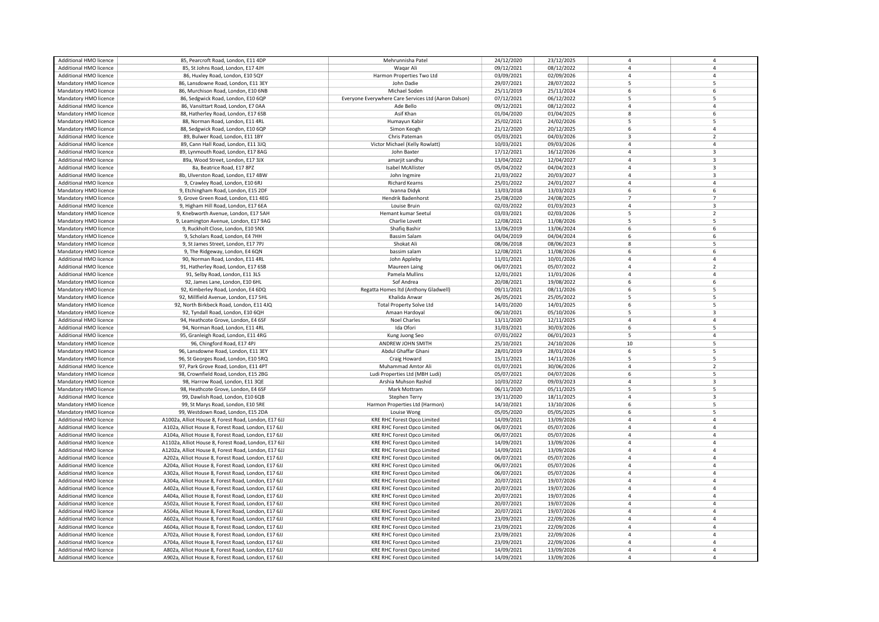| Additional HMO licence        | 85, Pearcroft Road, London, E11 4DP                  | Mehrunnisha Patel                                    | 24/12/2020 | 23/12/2025 | $\overline{4}$ | $\overline{4}$          |
|-------------------------------|------------------------------------------------------|------------------------------------------------------|------------|------------|----------------|-------------------------|
| Additional HMO licence        | 85, St Johns Road, London, E17 4JH                   | Waqar Ali                                            | 09/12/2021 | 08/12/2022 | $\overline{4}$ | $\overline{4}$          |
| Additional HMO licence        | 86, Huxley Road, London, E10 5QY                     | Harmon Properties Two Ltd                            | 03/09/2021 | 02/09/2026 | $\overline{4}$ | $\overline{4}$          |
|                               |                                                      |                                                      |            |            |                |                         |
| Mandatory HMO licence         | 86, Lansdowne Road, London, E11 3EY                  | John Dadie                                           | 29/07/2021 | 28/07/2022 | 5              | 5                       |
| Mandatory HMO licence         | 86, Murchison Road, London, E10 6NB                  | Michael Soden                                        | 25/11/2019 | 25/11/2024 | 6              | 6                       |
| Mandatory HMO licence         | 86, Sedgwick Road, London, E10 6QP                   | Everyone Everywhere Care Services Ltd (Aaron Dalson) | 07/12/2021 | 06/12/2022 | 5              | 5                       |
| Additional HMO licence        | 86, Vansittart Road, London, E7 0AA                  | Ade Bello                                            | 09/12/2021 | 08/12/2022 | $\overline{4}$ | $\overline{4}$          |
| Mandatory HMO licence         | 88, Hatherley Road, London, E17 6SB                  | Asif Khan                                            | 01/04/2020 | 01/04/2025 | 8              | 6                       |
| Mandatory HMO licence         | 88, Norman Road, London, E11 4RL                     | Humayun Kabir                                        | 25/02/2021 | 24/02/2026 | 5              | 5                       |
| Mandatory HMO licence         | 88, Sedgwick Road, London, E10 6QP                   | Simon Keogh                                          | 21/12/2020 | 20/12/2025 | 6              | $\overline{4}$          |
|                               |                                                      |                                                      |            |            | $\overline{3}$ | $\overline{2}$          |
| Additional HMO licence        | 89, Bulwer Road, London, E11 1BY                     | Chris Pateman                                        | 05/03/2021 | 04/03/2026 |                |                         |
| Additional HMO licence        | 89, Cann Hall Road, London, E11 3JQ                  | Victor Michael (Kelly Rowlatt)                       | 10/03/2021 | 09/03/2026 | $\overline{4}$ | $\overline{4}$          |
| Additional HMO licence        | 89, Lynmouth Road, London, E17 8AG                   | John Baxter                                          | 17/12/2021 | 16/12/2026 | $\overline{4}$ | $\overline{\mathbf{3}}$ |
| Additional HMO licence        | 89a, Wood Street, London, E17 3JX                    | amarjit sandhu                                       | 13/04/2022 | 12/04/2027 | $\Delta$       | $\overline{\mathbf{3}}$ |
| Additional HMO licence        | 8a, Beatrice Road, E17 8PZ                           | Isabel McAllister                                    | 05/04/2022 | 04/04/2023 | $\overline{4}$ | $\overline{\mathbf{3}}$ |
| Additional HMO licence        | 8b, Ulverston Road, London, E17 4BW                  | John Ingmire                                         | 21/03/2022 | 20/03/2027 | $\overline{4}$ | $\overline{\mathbf{3}}$ |
| <b>Additional HMO licence</b> | 9, Crawley Road, London, E10 6RJ                     | Richard Kearns                                       | 25/01/2022 | 24/01/2027 | $\overline{4}$ | $\overline{4}$          |
| Mandatory HMO licence         | 9, Etchingham Road, London, E15 2DF                  | Ivanna Didyk                                         | 13/03/2018 | 13/03/2023 | 6              | 6                       |
|                               |                                                      |                                                      |            |            | $\overline{7}$ | $\overline{7}$          |
| Mandatory HMO licence         | 9, Grove Green Road, London, E11 4EG                 | Hendrik Badenhorst                                   | 25/08/2020 | 24/08/2025 |                |                         |
| Additional HMO licence        | 9, Higham Hill Road, London, E17 6EA                 | Louise Bruin                                         | 02/03/2022 | 01/03/2023 | $\overline{4}$ | $\overline{3}$          |
| Mandatory HMO licence         | 9, Knebworth Avenue, London, E17 5AH                 | Hemant kumar Seetul                                  | 03/03/2021 | 02/03/2026 | 5              | $\overline{2}$          |
| Mandatory HMO licence         | 9, Leamington Avenue, London, E17 9AG                | Charlie Lovett                                       | 12/08/2021 | 11/08/2026 | 5              | 5                       |
| Mandatory HMO licence         | 9, Ruckholt Close, London, E10 5NX                   | Shafiq Bashir                                        | 13/06/2019 | 13/06/2024 | 6              | 6                       |
| Mandatory HMO licence         | 9, Scholars Road, London, E4 7HH                     | <b>Bassim Salam</b>                                  | 04/04/2019 | 04/04/2024 | 6              | 6                       |
| Mandatory HMO licence         | 9, St James Street, London, E17 7PJ                  | Shokat Ali                                           | 08/06/2018 | 08/06/2023 | $\mathbf{8}$   | 5                       |
| Mandatory HMO licence         | 9, The Ridgeway, London, E4 6QN                      | bassim salam                                         | 12/08/2021 | 11/08/2026 | 6              | 6                       |
|                               |                                                      |                                                      |            |            | $\overline{4}$ | $\overline{4}$          |
| Additional HMO licence        | 90, Norman Road, London, E11 4RL                     | John Appleby                                         | 11/01/2021 | 10/01/2026 |                |                         |
| Additional HMO licence        | 91, Hatherley Road, London, E17 6SB                  | Maureen Laing                                        | 06/07/2021 | 05/07/2022 | $\overline{4}$ | $\overline{2}$          |
| Additional HMO licence        | 91, Selby Road, London, E11 3LS                      | Pamela Mullins                                       | 12/01/2021 | 11/01/2026 | $\overline{a}$ | $\overline{4}$          |
| Mandatory HMO licence         | 92, James Lane, London, E10 6HL                      | Sof Andrea                                           | 20/08/2021 | 19/08/2022 | 6              | 6                       |
| Mandatory HMO licence         | 92, Kimberley Road, London, E4 6DQ                   | Regatta Homes Itd (Anthony Gladwell)                 | 09/11/2021 | 08/11/2026 | 6              | 5                       |
| Mandatory HMO licence         | 92, Millfield Avenue, London, E17 5HL                | Khalida Anwar                                        | 26/05/2021 | 25/05/2022 | 5              | 5                       |
| Mandatory HMO licence         | 92, North Birkbeck Road, London, E11 4JQ             | <b>Total Property Solve Ltd</b>                      | 14/01/2020 | 14/01/2025 | 6              | 5                       |
| Mandatory HMO licence         | 92, Tyndall Road, London, E10 6QH                    | Amaan Hardoyal                                       | 06/10/2021 | 05/10/2026 | 5              | $\overline{\mathbf{3}}$ |
|                               |                                                      |                                                      |            |            |                |                         |
| Additional HMO licence        | 94, Heathcote Grove, London, E4 6SF                  | <b>Noel Charles</b>                                  | 13/11/2020 | 12/11/2025 | $\overline{4}$ | $\overline{4}$          |
| Additional HMO licence        | 94, Norman Road, London, E11 4RL                     | Ida Ofori                                            | 31/03/2021 | 30/03/2026 | 6              | 5                       |
| Additional HMO licence        | 95, Granleigh Road, London, E11 4RG                  | Kung Juong Seo                                       | 07/01/2022 | 06/01/2023 | 5              | $\overline{4}$          |
| Mandatory HMO licence         | 96, Chingford Road, E17 4PJ                          | ANDREW JOHN SMITH                                    | 25/10/2021 | 24/10/2026 | 10             | 5                       |
| Mandatory HMO licence         | 96, Lansdowne Road, London, E11 3EY                  | Abdul Ghaffar Ghani                                  | 28/01/2019 | 28/01/2024 | 6              | 5                       |
| Mandatory HMO licence         | 96, St Georges Road, London, E10 5RQ                 | Craig Howard                                         | 15/11/2021 | 14/11/2026 | 5              | 5                       |
| Additional HMO licence        | 97, Park Grove Road, London, E11 4PT                 | Muhammad Amtor Ali                                   | 01/07/2021 | 30/06/2026 | $\overline{4}$ | $\overline{z}$          |
|                               |                                                      |                                                      |            |            | 6              | 5                       |
| Mandatory HMO licence         | 98, Crownfield Road, London, E15 2BG                 | Ludi Properties Ltd (MBH Ludi)                       | 05/07/2021 | 04/07/2026 |                |                         |
| Mandatory HMO licence         | 98, Harrow Road, London, E11 3QE                     | Arshia Muhson Rashid                                 | 10/03/2022 | 09/03/2023 | $\overline{a}$ | $\overline{3}$          |
| Mandatory HMO licence         | 98, Heathcote Grove, London, E4 6SF                  | Mark Mottram                                         | 06/11/2020 | 05/11/2025 | 5              | 5                       |
| Additional HMO licence        | 99, Dawlish Road, London, E10 6QB                    | Stephen Terry                                        | 19/11/2020 | 18/11/2025 | $\overline{a}$ | $\overline{\mathbf{3}}$ |
| Mandatory HMO licence         | 99, St Marys Road, London, E10 5RE                   | Harmon Properties Ltd (Harmon)                       | 14/10/2021 | 13/10/2026 | 6              | 5                       |
| Mandatory HMO licence         | 99, Westdown Road, London, E15 2DA                   | Louise Wong                                          | 05/05/2020 | 05/05/2025 | 6              | 5                       |
| Additional HMO licence        | A1002a, Alliot House 8, Forest Road, London, E17 6JJ | <b>KRE RHC Forest Opco Limited</b>                   | 14/09/2021 | 13/09/2026 | $\overline{4}$ | $\overline{4}$          |
| Additional HMO licence        | A102a, Alliot House 8, Forest Road, London, E17 6JJ  | <b>KRE RHC Forest Opco Limited</b>                   | 06/07/2021 | 05/07/2026 | $\overline{4}$ | $\overline{4}$          |
| Additional HMO licence        | A104a, Alliot House 8, Forest Road, London, E17 6JJ  | <b>KRE RHC Forest Opco Limited</b>                   | 06/07/2021 | 05/07/2026 | $\overline{4}$ | $\overline{4}$          |
|                               |                                                      |                                                      |            |            | $\overline{4}$ |                         |
| Additional HMO licence        | A1102a, Alliot House 8, Forest Road, London, E17 6JJ | <b>KRE RHC Forest Opco Limited</b>                   | 14/09/2021 | 13/09/2026 |                | $\overline{4}$          |
| Additional HMO licence        | A1202a, Alliot House 8, Forest Road, London, E17 6JJ | <b>KRE RHC Forest Opco Limited</b>                   | 14/09/2021 | 13/09/2026 | $\overline{4}$ | $\overline{4}$          |
| Additional HMO licence        | A202a, Alliot House 8, Forest Road, London, E17 6JJ  | <b>KRE RHC Forest Opco Limited</b>                   | 06/07/2021 | 05/07/2026 | $\overline{4}$ | $\overline{4}$          |
| Additional HMO licence        | A204a, Alliot House 8, Forest Road, London, E17 6JJ  | <b>KRE RHC Forest Opco Limited</b>                   | 06/07/2021 | 05/07/2026 | $\overline{4}$ | $\overline{a}$          |
| Additional HMO licence        | A302a, Alliot House 8, Forest Road, London, E17 6JJ  | <b>KRE RHC Forest Opco Limited</b>                   | 06/07/2021 | 05/07/2026 | $\overline{4}$ | $\overline{4}$          |
| Additional HMO licence        | A304a, Alliot House 8, Forest Road, London, E17 6JJ  | <b>KRE RHC Forest Opco Limited</b>                   | 20/07/2021 | 19/07/2026 | $\overline{4}$ | $\overline{4}$          |
| Additional HMO licence        | A402a, Alliot House 8, Forest Road, London, E17 6JJ  | <b>KRE RHC Forest Opco Limited</b>                   | 20/07/2021 | 19/07/2026 | $\overline{4}$ | $\overline{4}$          |
| Additional HMO licence        | A404a, Alliot House 8, Forest Road, London, E17 6JJ  | <b>KRE RHC Forest Opco Limited</b>                   | 20/07/2021 | 19/07/2026 | $\Delta$       | $\Delta$                |
| Additional HMO licence        | A502a, Alliot House 8, Forest Road, London, E17 6JJ  | <b>KRE RHC Forest Opco Limited</b>                   | 20/07/2021 | 19/07/2026 | $\overline{4}$ | $\overline{4}$          |
|                               |                                                      |                                                      |            |            | $\overline{4}$ | $\overline{4}$          |
| Additional HMO licence        | A504a, Alliot House 8, Forest Road, London, E17 6JJ  | <b>KRE RHC Forest Opco Limited</b>                   | 20/07/2021 | 19/07/2026 |                |                         |
| Additional HMO licence        | A602a, Alliot House 8, Forest Road, London, E17 6JJ  | <b>KRE RHC Forest Opco Limited</b>                   | 23/09/2021 | 22/09/2026 | $\overline{4}$ | $\overline{a}$          |
| Additional HMO licence        | A604a, Alliot House 8, Forest Road, London, E17 6JJ  | <b>KRE RHC Forest Opco Limited</b>                   | 23/09/2021 | 22/09/2026 | $\overline{4}$ | $\overline{4}$          |
| Additional HMO licence        | A702a, Alliot House 8, Forest Road, London, E17 6JJ  | <b>KRE RHC Forest Opco Limited</b>                   | 23/09/2021 | 22/09/2026 | $\overline{4}$ | $\overline{4}$          |
| Additional HMO licence        | A704a, Alliot House 8, Forest Road, London, E17 6JJ  | <b>KRE RHC Forest Opco Limited</b>                   | 23/09/2021 | 22/09/2026 | $\Delta$       | $\overline{4}$          |
| Additional HMO licence        | A802a, Alliot House 8, Forest Road, London, E17 6JJ  | <b>KRE RHC Forest Opco Limited</b>                   | 14/09/2021 | 13/09/2026 | $\overline{4}$ | $\overline{4}$          |
| Additional HMO licence        | A902a, Alliot House 8, Forest Road, London, E17 6JJ  | <b>KRE RHC Forest Opco Limited</b>                   | 14/09/2021 | 13/09/2026 | $\Lambda$      | $\Delta$                |
|                               |                                                      |                                                      |            |            |                |                         |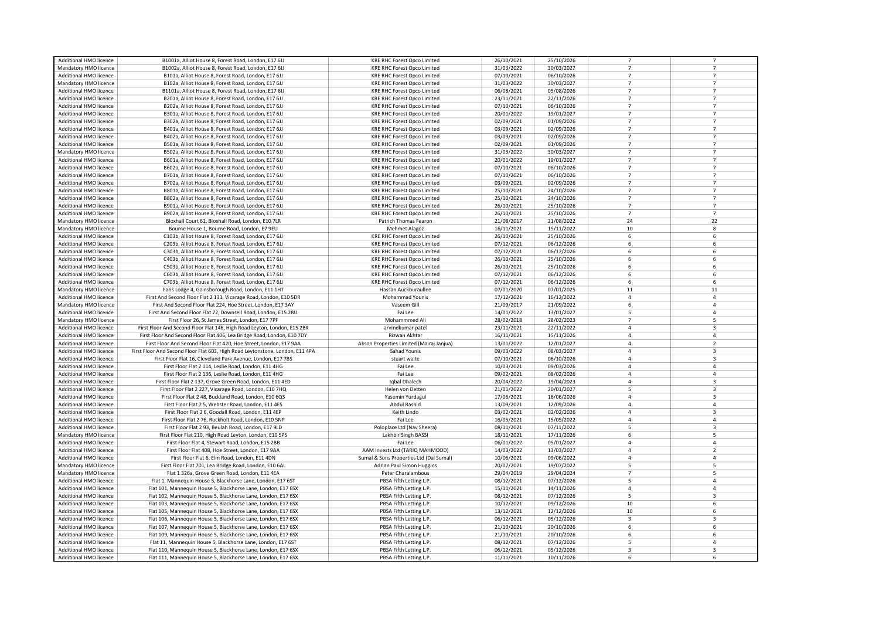| Additional HMO licence        | B1001a, Alliot House 8, Forest Road, London, E17 6JJ                          | <b>KRE RHC Forest Opco Limited</b>       | 26/10/2021 | 25/10/2026 | $\overline{7}$          | $\overline{7}$          |
|-------------------------------|-------------------------------------------------------------------------------|------------------------------------------|------------|------------|-------------------------|-------------------------|
|                               |                                                                               |                                          |            |            |                         |                         |
| Mandatory HMO licence         | B1002a, Alliot House 8, Forest Road, London, E17 6JJ                          | <b>KRE RHC Forest Opco Limited</b>       | 31/03/2022 | 30/03/2027 | $\overline{7}$          | $\overline{7}$          |
| Additional HMO licence        | B101a, Alliot House 8, Forest Road, London, E17 6JJ                           | <b>KRE RHC Forest Opco Limited</b>       | 07/10/2021 | 06/10/2026 | $\overline{7}$          | $\overline{7}$          |
| Mandatory HMO licence         | B102a, Alliot House 8, Forest Road, London, E17 6JJ                           | KRE RHC Forest Opco Limited              | 31/03/2022 | 30/03/2027 | $\overline{7}$          | $\overline{7}$          |
| <b>Additional HMO licence</b> | B1101a, Alliot House 8, Forest Road, London, E17 6JJ                          | <b>KRE RHC Forest Opco Limited</b>       | 06/08/2021 | 05/08/2026 | $\overline{7}$          | $\overline{7}$          |
| Additional HMO licence        |                                                                               |                                          |            |            | $\overline{7}$          | $\overline{7}$          |
|                               | B201a, Alliot House 8, Forest Road, London, E17 6JJ                           | KRE RHC Forest Opco Limited              | 23/11/2021 | 22/11/2026 |                         |                         |
| <b>Additional HMO licence</b> | B202a, Alliot House 8, Forest Road, London, E17 6JJ                           | <b>KRE RHC Forest Opco Limited</b>       | 07/10/2021 | 06/10/2026 | $\overline{7}$          | $\overline{7}$          |
| Additional HMO licence        | B301a, Alliot House 8, Forest Road, London, E17 6JJ                           | KRE RHC Forest Opco Limited              | 20/01/2022 | 19/01/2027 | $\overline{7}$          | $\overline{7}$          |
| Additional HMO licence        | B302a, Alliot House 8, Forest Road, London, E17 6JJ                           | <b>KRE RHC Forest Opco Limited</b>       | 02/09/2021 | 01/09/2026 | $\overline{7}$          | $\overline{7}$          |
| Additional HMO licence        | B401a, Alliot House 8, Forest Road, London, E17 6JJ                           | KRE RHC Forest Opco Limited              | 03/09/2021 | 02/09/2026 | $\overline{7}$          | $\overline{7}$          |
| <b>Additional HMO licence</b> |                                                                               |                                          |            |            | $\overline{7}$          | $\overline{7}$          |
|                               | B402a, Alliot House 8, Forest Road, London, E17 6JJ                           | KRE RHC Forest Opco Limited              | 03/09/2021 | 02/09/2026 |                         |                         |
| Additional HMO licence        | B501a, Alliot House 8, Forest Road, London, E17 6JJ                           | <b>KRE RHC Forest Opco Limited</b>       | 02/09/2021 | 01/09/2026 | $\overline{7}$          | $\overline{7}$          |
| Mandatory HMO licence         | B502a, Alliot House 8, Forest Road, London, E17 6JJ                           | KRE RHC Forest Opco Limited              | 31/03/2022 | 30/03/2027 | $\overline{7}$          | $\overline{7}$          |
| Additional HMO licence        | B601a, Alliot House 8, Forest Road, London, E17 6JJ                           | <b>KRE RHC Forest Opco Limited</b>       | 20/01/2022 | 19/01/2027 | $\overline{7}$          | $\overline{7}$          |
| Additional HMO licence        | B602a, Alliot House 8, Forest Road, London, E17 6JJ                           | <b>KRE RHC Forest Opco Limited</b>       | 07/10/2021 | 06/10/2026 | $\overline{7}$          | $\overline{7}$          |
| Additional HMO licence        | B701a, Alliot House 8, Forest Road, London, E17 6JJ                           | <b>KRE RHC Forest Opco Limited</b>       | 07/10/2021 | 06/10/2026 | $\overline{7}$          | $\overline{7}$          |
|                               |                                                                               |                                          |            |            |                         |                         |
| <b>Additional HMO licence</b> | B702a, Alliot House 8, Forest Road, London, E17 6JJ                           | KRE RHC Forest Opco Limited              | 03/09/2021 | 02/09/2026 | $\overline{7}$          | $\overline{7}$          |
| Additional HMO licence        | B801a, Alliot House 8, Forest Road, London, E17 6JJ                           | <b>KRE RHC Forest Opco Limited</b>       | 25/10/2021 | 24/10/2026 | $\overline{7}$          | $\overline{7}$          |
| <b>Additional HMO licence</b> | B802a, Alliot House 8, Forest Road, London, E17 6JJ                           | <b>KRE RHC Forest Opco Limited</b>       | 25/10/2021 | 24/10/2026 | $\overline{7}$          | $\overline{7}$          |
| Additional HMO licence        | B901a, Alliot House 8, Forest Road, London, E17 6JJ                           | <b>KRE RHC Forest Opco Limited</b>       | 26/10/2021 | 25/10/2026 | $\overline{7}$          | $\overline{7}$          |
| Additional HMO licence        | B902a, Alliot House 8, Forest Road, London, E17 6JJ                           | <b>KRE RHC Forest Opco Limited</b>       | 26/10/2021 | 25/10/2026 | $\overline{7}$          | $\overline{7}$          |
|                               |                                                                               |                                          |            |            | 24                      | 22                      |
| Mandatory HMO licence         | Bloxhall Court 61, Bloxhall Road, London, E10 7LR                             | Patrich Thomas Fearon                    | 21/08/2017 | 21/08/2022 |                         |                         |
| Mandatory HMO licence         | Bourne House 1, Bourne Road, London, E7 9EU                                   | <b>Mehmet Alagoz</b>                     | 16/11/2021 | 15/11/2022 | 10                      | 8                       |
| Additional HMO licence        | C103b, Alliot House 8, Forest Road, London, E17 6JJ                           | <b>KRE RHC Forest Opco Limited</b>       | 26/10/2021 | 25/10/2026 | 6                       | 6                       |
| <b>Additional HMO licence</b> | C203b, Alliot House 8, Forest Road, London, E17 6JJ                           | <b>KRE RHC Forest Opco Limited</b>       | 07/12/2021 | 06/12/2026 | 6                       | 6                       |
| Additional HMO licence        | C303b, Alliot House 8, Forest Road, London, E17 6JJ                           | <b>KRE RHC Forest Opco Limited</b>       | 07/12/2021 | 06/12/2026 | 6                       | 6                       |
| Additional HMO licence        | C403b, Alliot House 8, Forest Road, London, E17 6JJ                           | KRE RHC Forest Opco Limited              | 26/10/2021 | 25/10/2026 | 6                       | 6                       |
| Additional HMO licence        |                                                                               |                                          |            |            | 6                       | 6                       |
|                               | C503b, Alliot House 8, Forest Road, London, E17 6JJ                           | KRE RHC Forest Opco Limited              | 26/10/2021 | 25/10/2026 |                         |                         |
| Additional HMO licence        | C603b, Alliot House 8, Forest Road, London, E17 6JJ                           | KRE RHC Forest Opco Limited              | 07/12/2021 | 06/12/2026 | 6                       | 6                       |
| Additional HMO licence        | C703b, Alliot House 8, Forest Road, London, E17 6JJ                           | <b>KRE RHC Forest Opco Limited</b>       | 07/12/2021 | 06/12/2026 | 6                       | 6                       |
| Mandatory HMO licence         | Faris Lodge 4, Gainsborough Road, London, E11 1HT                             | Hassan Auckburaullee                     | 07/01/2020 | 07/01/2025 | $11\,$                  | 11                      |
| Additional HMO licence        | First And Second Floor Flat 2 131, Vicarage Road, London, E10 5DR             | <b>Mohammad Younis</b>                   | 17/12/2021 | 16/12/2022 | $\overline{4}$          | $\overline{4}$          |
| Mandatory HMO licence         | First And Second Floor Flat 224, Hoe Street, London, E17 3AY                  | Vaseem Gill                              | 21/09/2017 | 21/09/2022 | 6                       | $\overline{4}$          |
| <b>Additional HMO licence</b> | First And Second Floor Flat 72, Downsell Road, London, E15 2BU                | Fai Lee                                  | 14/01/2022 | 13/01/2027 | 5                       | $\overline{4}$          |
|                               |                                                                               |                                          |            |            |                         |                         |
| Mandatory HMO licence         | First Floor 26, St James Street, London, E17 7PF                              | Mohammmed Ali                            | 28/02/2018 | 28/02/2023 | $\overline{7}$          | 5                       |
| Additional HMO licence        | First Floor And Second Floor Flat 146, High Road Leyton, London, E15 2BX      | arvindkumar patel                        | 23/11/2021 | 22/11/2022 | $\overline{a}$          | $\overline{3}$          |
| Additional HMO licence        | First Floor And Second Floor Flat 406, Lea Bridge Road, London, E10 7DY       | Rizwan Akhtar                            | 16/11/2021 | 15/11/2026 | $\overline{4}$          | $\overline{4}$          |
| <b>Additional HMO licence</b> | First Floor And Second Floor Flat 420, Hoe Street, London, E17 9AA            | Akson Properties Limited (Mairaj Janjua) | 13/01/2022 | 12/01/2027 | $\overline{a}$          | $\overline{2}$          |
| Additional HMO licence        | First Floor And Second Floor Flat 603, High Road Leytonstone, London, E11 4PA | Sahad Younis                             | 09/03/2022 | 08/03/2027 | $\overline{4}$          | $\overline{\mathbf{3}}$ |
| <b>Additional HMO licence</b> | First Floor Flat 16, Cleveland Park Avenue, London, E17 7BS                   | stuart waite                             | 07/10/2021 | 06/10/2026 | $\overline{a}$          | $\overline{\mathbf{3}}$ |
|                               |                                                                               |                                          |            |            | $\Delta$                | $\Delta$                |
| Additional HMO licence        | First Floor Flat 2 114, Leslie Road, London, E11 4HG                          | Fai Lee                                  | 10/03/2021 | 09/03/2026 |                         |                         |
| <b>Additional HMO licence</b> | First Floor Flat 2 136, Leslie Road, London, E11 4HG                          | Fai Lee                                  | 09/02/2021 | 08/02/2026 | $\overline{a}$          | $\overline{4}$          |
| Additional HMO licence        | First Floor Flat 2 137, Grove Green Road, London, E11 4ED                     | Iqbal Dhalech                            | 20/04/2022 | 19/04/2023 | $\Delta$                | $\overline{3}$          |
| Additional HMO licence        | First Floor Flat 2 227, Vicarage Road, London, E10 7HQ                        | Helen von Detten                         | 21/01/2022 | 20/01/2027 | 5                       | $\overline{\mathbf{3}}$ |
| Additional HMO licence        | First Floor Flat 2 48, Buckland Road, London, E10 6QS                         | Yasemin Yurdagul                         | 17/06/2021 | 16/06/2026 | $\overline{4}$          | $\overline{\mathbf{3}}$ |
| Additional HMO licence        | First Floor Flat 2 5, Webster Road, London, E11 4ES                           | Abdul Rashid                             |            |            | $\overline{4}$          | $\overline{4}$          |
|                               |                                                                               |                                          | 13/09/2021 | 12/09/2026 |                         |                         |
| Additional HMO licence        | First Floor Flat 2 6, Goodall Road, London, E11 4EP                           | Keith Lindo                              | 03/02/2021 | 02/02/2026 | $\overline{a}$          | $\overline{\mathbf{3}}$ |
| Additional HMO licence        | First Floor Flat 2 76, Ruckholt Road, London, E10 5NP                         | Fai Lee                                  | 16/05/2021 | 15/05/2022 | $\overline{4}$          | $\overline{4}$          |
| Additional HMO licence        | First Floor Flat 2 93, Beulah Road, London, E17 9LD                           | Poloplace Ltd (Nav Sheera)               | 08/11/2021 | 07/11/2022 | 5                       | $\overline{\mathbf{3}}$ |
| Mandatory HMO licence         | First Floor Flat 210, High Road Leyton, London, E10 5PS                       | Lakhbir Singh BASSI                      | 18/11/2021 | 17/11/2026 | 6                       | 5                       |
| Additional HMO licence        | First Floor Flat 4, Stewart Road, London, E15 2BB                             | Fai Lee                                  | 06/01/2022 | 05/01/2027 | $\overline{4}$          | $\overline{4}$          |
| Additional HMO licence        | First Floor Flat 408, Hoe Street, London, E17 9AA                             | AAM Invests Ltd (TARIQ MAHMOOD)          | 14/03/2022 | 13/03/2027 | $\Delta$                | $\overline{2}$          |
|                               |                                                                               |                                          |            |            | $\overline{a}$          |                         |
| Additional HMO licence        | First Floor Flat 6, Elm Road, London, E11 4DN                                 | Sumal & Sons Properties Ltd (Dal Sumal)  | 10/06/2021 | 09/06/2022 |                         | $\overline{4}$          |
| Mandatory HMO licence         | First Floor Flat 701, Lea Bridge Road, London, E10 6AL                        | Adrian Paul Simon Huggins                | 20/07/2021 | 19/07/2022 | 5                       | 5                       |
| Mandatory HMO licence         | Flat 1 326a, Grove Green Road, London, E11 4EA                                | Peter Charalambous                       | 29/04/2019 | 29/04/2024 | $\overline{7}$          | 5                       |
| Additional HMO licence        | Flat 1, Mannequin House 5, Blackhorse Lane, London, E17 6ST                   | PBSA Fifth Letting L.P.                  | 08/12/2021 | 07/12/2026 | 5                       | $\overline{4}$          |
| Additional HMO licence        | Flat 101, Mannequin House 5, Blackhorse Lane, London, E17 6SX                 | PBSA Fifth Letting L.P.                  | 15/11/2021 | 14/11/2026 | $\overline{4}$          | $\overline{4}$          |
| <b>Additional HMO licence</b> | Flat 102, Mannequin House 5, Blackhorse Lane, London, E17 6SX                 | PBSA Fifth Letting L.P.                  | 08/12/2021 | 07/12/2026 | 5                       | $\overline{3}$          |
| Additional HMO licence        | Flat 103, Mannequin House 5, Blackhorse Lane, London, E17 6SX                 | PBSA Fifth Letting L.P.                  | 10/12/2021 | 09/12/2026 | 10                      | 6                       |
| Additional HMO licence        | Flat 105, Mannequin House 5, Blackhorse Lane, London, E17 6SX                 | PBSA Fifth Letting L.P.                  | 13/12/2021 | 12/12/2026 | 10                      | 6                       |
|                               |                                                                               |                                          |            |            |                         |                         |
| Additional HMO licence        | Flat 106, Mannequin House 5, Blackhorse Lane, London, E17 6SX                 | PBSA Fifth Letting L.P.                  | 06/12/2021 | 05/12/2026 | $\overline{\mathbf{3}}$ | $\overline{\mathbf{3}}$ |
| <b>Additional HMO licence</b> | Flat 107, Mannequin House 5, Blackhorse Lane, London, E17 6SX                 | PBSA Fifth Letting L.P.                  | 21/10/2021 | 20/10/2026 | 6                       | 6                       |
| Additional HMO licence        | Flat 109, Mannequin House 5, Blackhorse Lane, London, E17 6SX                 | PBSA Fifth Letting L.P.                  | 21/10/2021 | 20/10/2026 | 6                       | 6                       |
| Additional HMO licence        | Flat 11, Mannequin House 5, Blackhorse Lane, London, E17 6ST                  | PBSA Fifth Letting L.P.                  | 08/12/2021 | 07/12/2026 | 5                       | $\Delta$                |
| Additional HMO licence        | Flat 110, Mannequin House 5, Blackhorse Lane, London, E17 6SX                 | PBSA Fifth Letting L.P.                  | 06/12/2021 | 05/12/2026 | $\overline{\mathbf{3}}$ | 3                       |
| Additional HMO licence        |                                                                               |                                          | 11/11/2021 | 10/11/2026 | 6                       | 6                       |
|                               | Flat 111, Mannequin House 5, Blackhorse Lane, London, E17 6SX                 | PBSA Fifth Letting L.P.                  |            |            |                         |                         |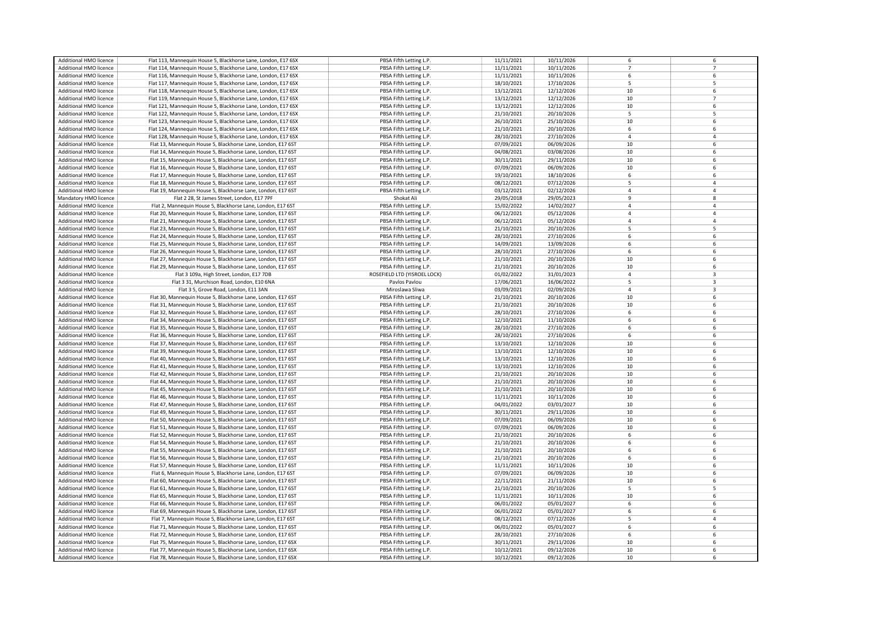| Additional HMO licence        | Flat 113, Mannequin House 5, Blackhorse Lane, London, E17 6SX | PBSA Fifth Letting L.P.      | 11/11/2021 | 10/11/2026 | 6              | 6                       |
|-------------------------------|---------------------------------------------------------------|------------------------------|------------|------------|----------------|-------------------------|
| Additional HMO licence        | Flat 114, Mannequin House 5, Blackhorse Lane, London, E17 6SX | PBSA Fifth Letting L.P.      | 11/11/2021 | 10/11/2026 | $\overline{7}$ | $\overline{7}$          |
| Additional HMO licence        |                                                               |                              |            |            | 6              | 6                       |
|                               | Flat 116, Mannequin House 5, Blackhorse Lane, London, E17 6SX | PBSA Fifth Letting L.P.      | 11/11/2021 | 10/11/2026 |                |                         |
| Additional HMO licence        | Flat 117, Mannequin House 5, Blackhorse Lane, London, E17 6SX | PBSA Fifth Letting L.P.      | 18/10/2021 | 17/10/2026 | 5              | 5                       |
| Additional HMO licence        | Flat 118, Mannequin House 5, Blackhorse Lane, London, E17 6SX | PBSA Fifth Letting L.P.      | 13/12/2021 |            | 10             | 6                       |
|                               |                                                               |                              |            | 12/12/2026 |                |                         |
| Additional HMO licence        | Flat 119, Mannequin House 5, Blackhorse Lane, London, E17 6SX | PBSA Fifth Letting L.P.      | 13/12/2021 | 12/12/2026 | 10             | $\overline{7}$          |
| Additional HMO licence        | Flat 121, Mannequin House 5, Blackhorse Lane, London, E17 6SX | PBSA Fifth Letting L.P.      | 13/12/2021 | 12/12/2026 | 10             | 6                       |
|                               |                                                               |                              |            |            |                |                         |
| Additional HMO licence        | Flat 122, Mannequin House 5, Blackhorse Lane, London, E17 6SX | PBSA Fifth Letting L.P.      | 21/10/2021 | 20/10/2026 | 5              | 5                       |
| Additional HMO licence        | Flat 123, Mannequin House 5, Blackhorse Lane, London, E17 6SX | PBSA Fifth Letting L.P.      | 26/10/2021 | 25/10/2026 | 10             | 6                       |
|                               |                                                               |                              |            |            |                |                         |
| Additional HMO licence        | Flat 124, Mannequin House 5, Blackhorse Lane, London, E17 6SX | PBSA Fifth Letting L.P.      | 21/10/2021 | 20/10/2026 | 6              | 6                       |
| <b>Additional HMO licence</b> | Flat 128, Mannequin House 5, Blackhorse Lane, London, E17 6SX | PBSA Fifth Letting L.P.      | 28/10/2021 | 27/10/2026 | $\Delta$       | $\Delta$                |
|                               |                                                               |                              |            |            |                |                         |
| Additional HMO licence        | Flat 13, Mannequin House 5, Blackhorse Lane, London, E17 6ST  | PBSA Fifth Letting L.P.      | 07/09/2021 | 06/09/2026 | 10             | 6                       |
| <b>Additional HMO licence</b> | Flat 14, Mannequin House 5, Blackhorse Lane, London, E17 6ST  | PBSA Fifth Letting L.P.      | 04/08/2021 | 03/08/2026 | 10             | 6                       |
| Additional HMO licence        |                                                               |                              |            |            | 10             | 6                       |
|                               | Flat 15, Mannequin House 5, Blackhorse Lane, London, E17 6ST  | PBSA Fifth Letting L.P.      | 30/11/2021 | 29/11/2026 |                |                         |
| Additional HMO licence        | Flat 16, Mannequin House 5, Blackhorse Lane, London, E17 6ST  | PBSA Fifth Letting L.P.      | 07/09/2021 | 06/09/2026 | 10             | 6                       |
| Additional HMO licence        | Flat 17, Mannequin House 5, Blackhorse Lane, London, E17 6ST  | PBSA Fifth Letting L.P.      | 19/10/2021 | 18/10/2026 | 6              | 6                       |
|                               |                                                               |                              |            |            |                |                         |
| Additional HMO licence        | Flat 18, Mannequin House 5, Blackhorse Lane, London, E17 6ST  | PBSA Fifth Letting L.P.      | 08/12/2021 | 07/12/2026 | 5              | $\overline{4}$          |
| Additional HMO licence        | Flat 19, Mannequin House 5, Blackhorse Lane, London, E17 6ST  | PBSA Fifth Letting L.P.      | 03/12/2021 | 02/12/2026 | $\Delta$       | $\overline{4}$          |
|                               |                                                               |                              |            |            |                |                         |
| Mandatory HMO licence         | Flat 2 28, St James Street, London, E17 7PF                   | Shokat Ali                   | 29/05/2018 | 29/05/2023 | 9              | $\boldsymbol{8}$        |
| Additional HMO licence        | Flat 2, Mannequin House 5, Blackhorse Lane, London, E17 6ST   | PBSA Fifth Letting L.P.      | 15/02/2022 | 14/02/2027 | $\overline{4}$ | $\overline{a}$          |
|                               |                                                               |                              |            |            | $\overline{4}$ |                         |
| Additional HMO licence        | Flat 20, Mannequin House 5, Blackhorse Lane, London, E17 6ST  | PBSA Fifth Letting L.P.      | 06/12/2021 | 05/12/2026 |                | $\overline{4}$          |
| Additional HMO licence        | Flat 21, Mannequin House 5, Blackhorse Lane, London, E17 6ST  | PBSA Fifth Letting L.P.      | 06/12/2021 | 05/12/2026 | $\overline{4}$ | $\overline{4}$          |
|                               |                                                               |                              |            |            | 5              | 5                       |
| Additional HMO licence        | Flat 23, Mannequin House 5, Blackhorse Lane, London, E17 6ST  | PBSA Fifth Letting L.P.      | 21/10/2021 | 20/10/2026 |                |                         |
| <b>Additional HMO licence</b> | Flat 24, Mannequin House 5, Blackhorse Lane, London, E17 6ST  | PBSA Fifth Letting L.P.      | 28/10/2021 | 27/10/2026 | 6              | 6                       |
| Additional HMO licence        |                                                               | PBSA Fifth Letting L.P.      |            |            | 6              | 6                       |
|                               | Flat 25, Mannequin House 5, Blackhorse Lane, London, E17 6ST  |                              | 14/09/2021 | 13/09/2026 |                |                         |
| <b>Additional HMO licence</b> | Flat 26, Mannequin House 5, Blackhorse Lane, London, E17 6ST  | PBSA Fifth Letting L.P.      | 28/10/2021 | 27/10/2026 | 6              | 6                       |
| Additional HMO licence        | Flat 27, Mannequin House 5, Blackhorse Lane, London, E17 6ST  | PBSA Fifth Letting L.P.      | 21/10/2021 | 20/10/2026 | 10             | 6                       |
|                               |                                                               |                              |            |            |                |                         |
| Additional HMO licence        | Flat 29, Mannequin House 5, Blackhorse Lane, London, E17 6ST  | PBSA Fifth Letting L.P.      | 21/10/2021 | 20/10/2026 | 10             | 6                       |
| Additional HMO licence        | Flat 3 109a, High Street, London, E17 7DB                     | ROSEFIELD LTD (YISROEL LOCK) | 01/02/2022 | 31/01/2023 | $\overline{4}$ | $\overline{\mathbf{3}}$ |
|                               |                                                               |                              |            |            |                |                         |
| Additional HMO licence        | Flat 3 31, Murchison Road, London, E10 6NA                    | Pavlos Pavlou                | 17/06/2021 | 16/06/2022 | 5              | $\overline{\mathbf{3}}$ |
| Additional HMO licence        | Flat 3 5, Grove Road, London, E11 3AN                         | Miroslawa Sliwa              | 03/09/2021 | 02/09/2026 | $\overline{a}$ | $\overline{\mathbf{3}}$ |
|                               |                                                               |                              |            |            |                |                         |
| Additional HMO licence        | Flat 30, Mannequin House 5, Blackhorse Lane, London, E17 6ST  | PBSA Fifth Letting L.P.      | 21/10/2021 | 20/10/2026 | 10             | 6                       |
| Additional HMO licence        | Flat 31, Mannequin House 5, Blackhorse Lane, London, E17 6ST  | PBSA Fifth Letting L.P.      | 21/10/2021 | 20/10/2026 | 10             | 6                       |
| <b>Additional HMO licence</b> | Flat 32, Mannequin House 5, Blackhorse Lane, London, E17 6ST  | PBSA Fifth Letting L.P.      | 28/10/2021 |            | 6              | 6                       |
|                               |                                                               |                              |            | 27/10/2026 |                |                         |
| Additional HMO licence        | Flat 34, Mannequin House 5, Blackhorse Lane, London, E17 6ST  | PBSA Fifth Letting L.P.      | 12/10/2021 | 11/10/2026 | 6              | 6                       |
| Additional HMO licence        | Flat 35, Mannequin House 5, Blackhorse Lane, London, E17 6ST  | PBSA Fifth Letting L.P.      | 28/10/2021 | 27/10/2026 | 6              | 6                       |
|                               |                                                               |                              |            |            |                |                         |
| Additional HMO licence        | Flat 36, Mannequin House 5, Blackhorse Lane, London, E17 6ST  | PBSA Fifth Letting L.P.      | 28/10/2021 | 27/10/2026 | 6              | 6                       |
| <b>Additional HMO licence</b> | Flat 37, Mannequin House 5, Blackhorse Lane, London, E17 6ST  | PBSA Fifth Letting L.P.      | 13/10/2021 | 12/10/2026 | 10             | 6                       |
|                               |                                                               |                              |            |            |                |                         |
| Additional HMO licence        | Flat 39, Mannequin House 5, Blackhorse Lane, London, E17 6ST  | PBSA Fifth Letting L.P.      | 13/10/2021 | 12/10/2026 | 10             | 6                       |
| Additional HMO licence        | Flat 40, Mannequin House 5, Blackhorse Lane, London, E17 6ST  | PBSA Fifth Letting L.P.      | 13/10/2021 | 12/10/2026 | 10             | 6                       |
|                               |                                                               |                              |            |            |                |                         |
| Additional HMO licence        | Flat 41, Mannequin House 5, Blackhorse Lane, London, E17 6ST  | PBSA Fifth Letting L.P.      | 13/10/2021 | 12/10/2026 | 10             | 6                       |
| <b>Additional HMO licence</b> | Flat 42, Mannequin House 5, Blackhorse Lane, London, E17 6ST  | PBSA Fifth Letting L.P.      | 21/10/2021 | 20/10/2026 | 10             | 6                       |
| Additional HMO licence        |                                                               |                              | 21/10/2021 | 20/10/2026 | 10             | 6                       |
|                               | Flat 44, Mannequin House 5, Blackhorse Lane, London, E17 6ST  | PBSA Fifth Letting L.P.      |            |            |                |                         |
| Additional HMO licence        | Flat 45, Mannequin House 5, Blackhorse Lane, London, E17 6ST  | PBSA Fifth Letting L.P.      | 21/10/2021 | 20/10/2026 | 10             | 6                       |
| <b>Additional HMO licence</b> | Flat 46, Mannequin House 5, Blackhorse Lane, London, E17 6ST  | PBSA Fifth Letting L.P.      | 11/11/2021 | 10/11/2026 | 10             | 6                       |
|                               |                                                               |                              |            |            |                |                         |
| Additional HMO licence        | Flat 47, Mannequin House 5, Blackhorse Lane, London, E17 6ST  | PBSA Fifth Letting L.P.      | 04/01/2022 | 03/01/2027 | 10             | 6                       |
| <b>Additional HMO licence</b> | Flat 49, Mannequin House 5, Blackhorse Lane, London, E17 6ST  | PBSA Fifth Letting L.P.      | 30/11/2021 | 29/11/2026 | 10             | 6                       |
|                               |                                                               |                              |            |            | 10             | 6                       |
| Additional HMO licence        | Flat 50, Mannequin House 5, Blackhorse Lane, London, E17 6ST  | PBSA Fifth Letting L.P.      | 07/09/2021 | 06/09/2026 |                |                         |
| <b>Additional HMO licence</b> | Flat 51, Mannequin House 5, Blackhorse Lane, London, E17 6ST  | PBSA Fifth Letting L.P.      | 07/09/2021 | 06/09/2026 | 10             | 6                       |
| Additional HMO licence        |                                                               |                              |            | 20/10/2026 | 6              | 6                       |
|                               | Flat 52, Mannequin House 5, Blackhorse Lane, London, E17 6ST  | PBSA Fifth Letting L.P.      | 21/10/2021 |            |                |                         |
| Additional HMO licence        | Flat 54, Mannequin House 5, Blackhorse Lane, London, E17 6ST  | PBSA Fifth Letting L.P.      | 21/10/2021 | 20/10/2026 | 6              | 6                       |
| Additional HMO licence        | Flat 55, Mannequin House 5, Blackhorse Lane, London, E17 6ST  | PBSA Fifth Letting L.P.      | 21/10/2021 | 20/10/2026 | 6              | 6                       |
|                               |                                                               |                              |            |            |                |                         |
| Additional HMO licence        | Flat 56, Mannequin House 5, Blackhorse Lane, London, E17 6ST  | PBSA Fifth Letting L.P.      | 21/10/2021 | 20/10/2026 | 6              | 6                       |
| Additional HMO licence        | Flat 57, Mannequin House 5, Blackhorse Lane, London, E17 6ST  | PBSA Fifth Letting L.P.      | 11/11/2021 | 10/11/2026 | 10             | 6                       |
|                               |                                                               |                              |            |            |                |                         |
| Additional HMO licence        | Flat 6, Mannequin House 5, Blackhorse Lane, London, E17 6ST   | PBSA Fifth Letting L.P.      | 07/09/2021 | 06/09/2026 | 10             | 6                       |
| Additional HMO licence        | Flat 60, Mannequin House 5, Blackhorse Lane, London, E17 6ST  | PBSA Fifth Letting L.P.      | 22/11/2021 | 21/11/2026 | 10             | 6                       |
| <b>Additional HMO licence</b> | Flat 61, Mannequin House 5, Blackhorse Lane, London, E17 6ST  | PBSA Fifth Letting L.P.      | 21/10/2021 |            | 5              | 5                       |
|                               |                                                               |                              |            | 20/10/2026 |                |                         |
| Additional HMO licence        | Flat 65, Mannequin House 5, Blackhorse Lane, London, E17 6ST  | PBSA Fifth Letting L.P.      | 11/11/2021 | 10/11/2026 | 10             | 6                       |
| Additional HMO licence        | Flat 66, Mannequin House 5, Blackhorse Lane, London, E17 6ST  | PBSA Fifth Letting L.P.      | 06/01/2022 | 05/01/2027 | 6              | 6                       |
|                               |                                                               |                              |            |            |                |                         |
| Additional HMO licence        | Flat 69, Mannequin House 5, Blackhorse Lane, London, E17 6ST  | PBSA Fifth Letting L.P.      | 06/01/2022 | 05/01/2027 | 6              | 6                       |
| <b>Additional HMO licence</b> | Flat 7, Mannequin House 5, Blackhorse Lane, London, E17 6ST   | PBSA Fifth Letting L.P.      | 08/12/2021 | 07/12/2026 | 5              | $\overline{4}$          |
|                               |                                                               |                              |            |            |                |                         |
| Additional HMO licence        | Flat 71, Mannequin House 5, Blackhorse Lane, London, E17 6ST  | PBSA Fifth Letting L.P.      | 06/01/2022 | 05/01/2027 | 6              | 6                       |
| Additional HMO licence        | Flat 72, Mannequin House 5, Blackhorse Lane, London, E17 6ST  | PBSA Fifth Letting L.P.      | 28/10/2021 | 27/10/2026 | 6              | 6                       |
|                               |                                                               |                              |            |            |                |                         |
| <b>Additional HMO licence</b> | Flat 75, Mannequin House 5, Blackhorse Lane, London, E17 6SX  | PBSA Fifth Letting L.P.      | 30/11/2021 | 29/11/2026 | 10             | 6                       |
| Additional HMO licence        | Flat 77, Mannequin House 5, Blackhorse Lane, London, E17 6SX  | PBSA Fifth Letting L.P.      | 10/12/2021 | 09/12/2026 | 10             | 6                       |
|                               |                                                               |                              |            |            |                | 6                       |
| Additional HMO licence        | Flat 78, Mannequin House 5, Blackhorse Lane, London, E17 6SX  | PBSA Fifth Letting L.P.      | 10/12/2021 | 09/12/2026 | 10             |                         |